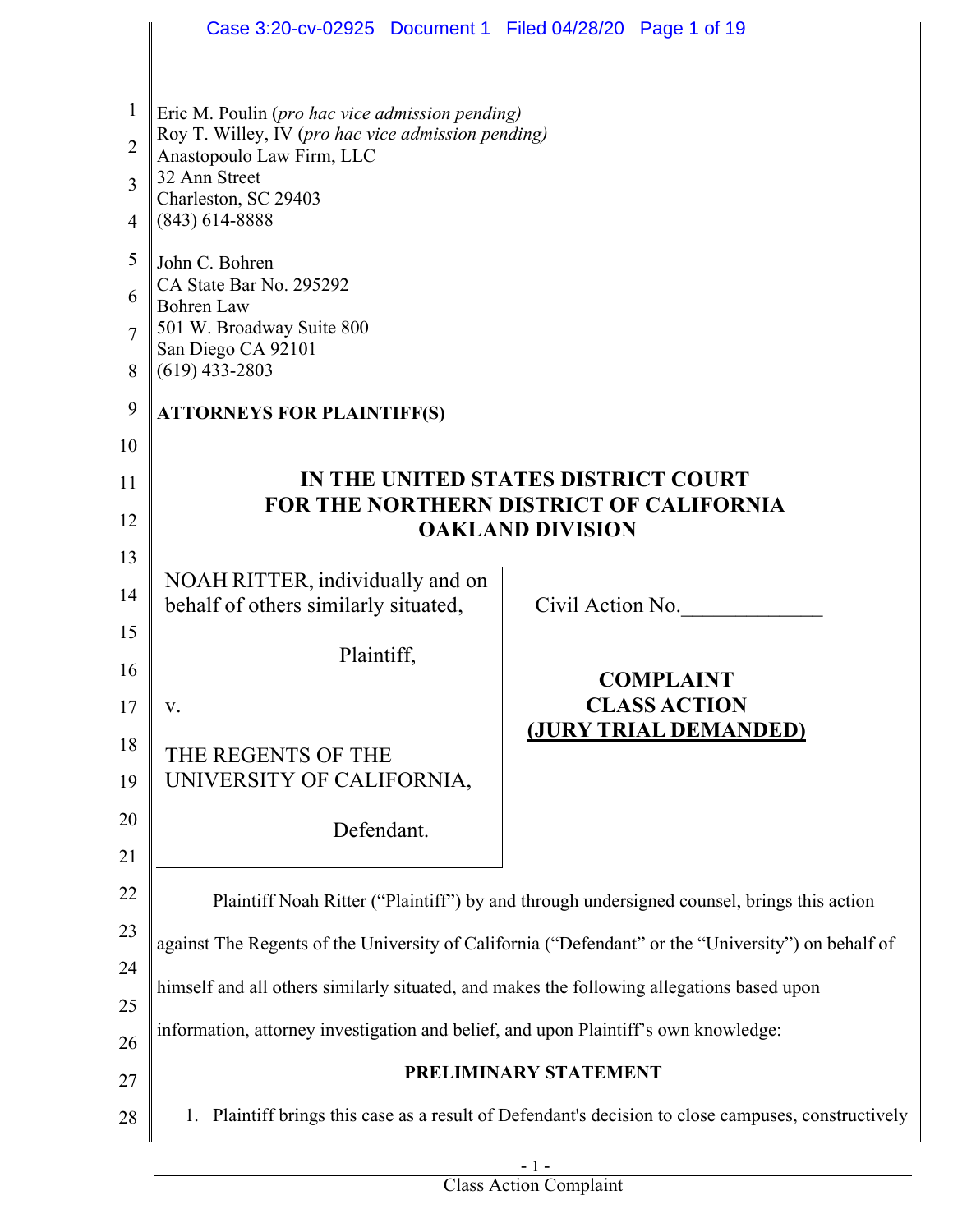|                | Case 3:20-cv-02925 Document 1 Filed 04/28/20 Page 1 of 19                                 |                                                                                                     |
|----------------|-------------------------------------------------------------------------------------------|-----------------------------------------------------------------------------------------------------|
|                |                                                                                           |                                                                                                     |
| $\mathbf{1}$   | Eric M. Poulin (pro hac vice admission pending)                                           |                                                                                                     |
| $\overline{2}$ | Roy T. Willey, IV (pro hac vice admission pending)<br>Anastopoulo Law Firm, LLC           |                                                                                                     |
| $\overline{3}$ | 32 Ann Street<br>Charleston, SC 29403                                                     |                                                                                                     |
| $\overline{4}$ | $(843)$ 614-8888                                                                          |                                                                                                     |
| 5              | John C. Bohren                                                                            |                                                                                                     |
| 6              | CA State Bar No. 295292<br><b>Bohren</b> Law                                              |                                                                                                     |
| $\overline{7}$ | 501 W. Broadway Suite 800<br>San Diego CA 92101                                           |                                                                                                     |
| 8              | $(619)$ 433-2803                                                                          |                                                                                                     |
| 9              | <b>ATTORNEYS FOR PLAINTIFF(S)</b>                                                         |                                                                                                     |
| 10             |                                                                                           |                                                                                                     |
| 11             |                                                                                           | IN THE UNITED STATES DISTRICT COURT<br><b>FOR THE NORTHERN DISTRICT OF CALIFORNIA</b>               |
| 12             |                                                                                           | <b>OAKLAND DIVISION</b>                                                                             |
| 13             |                                                                                           |                                                                                                     |
| 14             | NOAH RITTER, individually and on<br>behalf of others similarly situated,                  | Civil Action No.                                                                                    |
| 15             | Plaintiff,                                                                                |                                                                                                     |
| 16             |                                                                                           | <b>COMPLAINT</b>                                                                                    |
| 17             | V.                                                                                        | <b>CLASS ACTION</b><br>(JURY TRIAL DEMANDED)                                                        |
| 18             | THE REGENTS OF THE                                                                        |                                                                                                     |
| 19             | UNIVERSITY OF CALIFORNIA,                                                                 |                                                                                                     |
| 20             | Defendant.                                                                                |                                                                                                     |
| 21             |                                                                                           |                                                                                                     |
| 22             |                                                                                           | Plaintiff Noah Ritter ("Plaintiff") by and through undersigned counsel, brings this action          |
| 23             |                                                                                           | against The Regents of the University of California ("Defendant" or the "University") on behalf of  |
| 24<br>25       | himself and all others similarly situated, and makes the following allegations based upon |                                                                                                     |
| 26             | information, attorney investigation and belief, and upon Plaintiff's own knowledge:       |                                                                                                     |
| 27             |                                                                                           | PRELIMINARY STATEMENT                                                                               |
| 28             |                                                                                           | 1. Plaintiff brings this case as a result of Defendant's decision to close campuses, constructively |
|                |                                                                                           |                                                                                                     |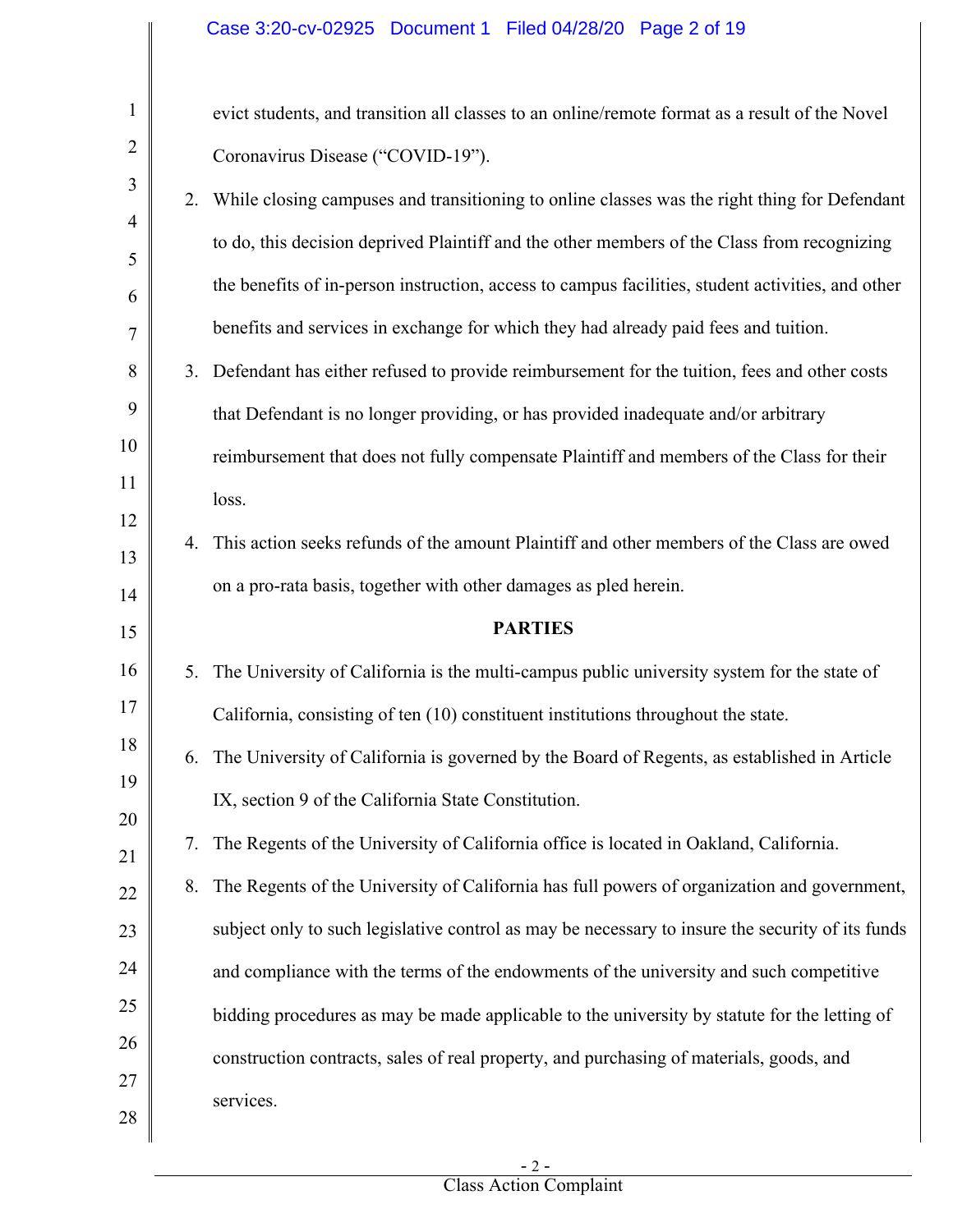# Case 3:20-cv-02925 Document 1 Filed 04/28/20 Page 2 of 19

| $\mathbf{1}$   |    | evict students, and transition all classes to an online/remote format as a result of the Novel    |
|----------------|----|---------------------------------------------------------------------------------------------------|
| $\overline{2}$ |    | Coronavirus Disease ("COVID-19").                                                                 |
| 3              |    | 2. While closing campuses and transitioning to online classes was the right thing for Defendant   |
| 4              |    | to do, this decision deprived Plaintiff and the other members of the Class from recognizing       |
| 5<br>6         |    | the benefits of in-person instruction, access to campus facilities, student activities, and other |
| 7              |    | benefits and services in exchange for which they had already paid fees and tuition.               |
| 8              |    | 3. Defendant has either refused to provide reimbursement for the tuition, fees and other costs    |
| 9              |    | that Defendant is no longer providing, or has provided inadequate and/or arbitrary                |
| 10             |    | reimbursement that does not fully compensate Plaintiff and members of the Class for their         |
| 11             |    | loss.                                                                                             |
| 12             | 4. | This action seeks refunds of the amount Plaintiff and other members of the Class are owed         |
| 13             |    | on a pro-rata basis, together with other damages as pled herein.                                  |
| 14<br>15       |    | <b>PARTIES</b>                                                                                    |
|                |    |                                                                                                   |
| 16             | 5. | The University of California is the multi-campus public university system for the state of        |
|                |    |                                                                                                   |
| 17             |    | California, consisting of ten $(10)$ constituent institutions throughout the state.               |
| 18             | 6. | The University of California is governed by the Board of Regents, as established in Article       |
| 19             |    | IX, section 9 of the California State Constitution.                                               |
| 20             | 7. | The Regents of the University of California office is located in Oakland, California.             |
| 21<br>22       | 8. | The Regents of the University of California has full powers of organization and government,       |
| 23             |    | subject only to such legislative control as may be necessary to insure the security of its funds  |
| 24             |    | and compliance with the terms of the endowments of the university and such competitive            |
| 25             |    | bidding procedures as may be made applicable to the university by statute for the letting of      |
| 26             |    | construction contracts, sales of real property, and purchasing of materials, goods, and           |
| 27<br>28       |    | services.                                                                                         |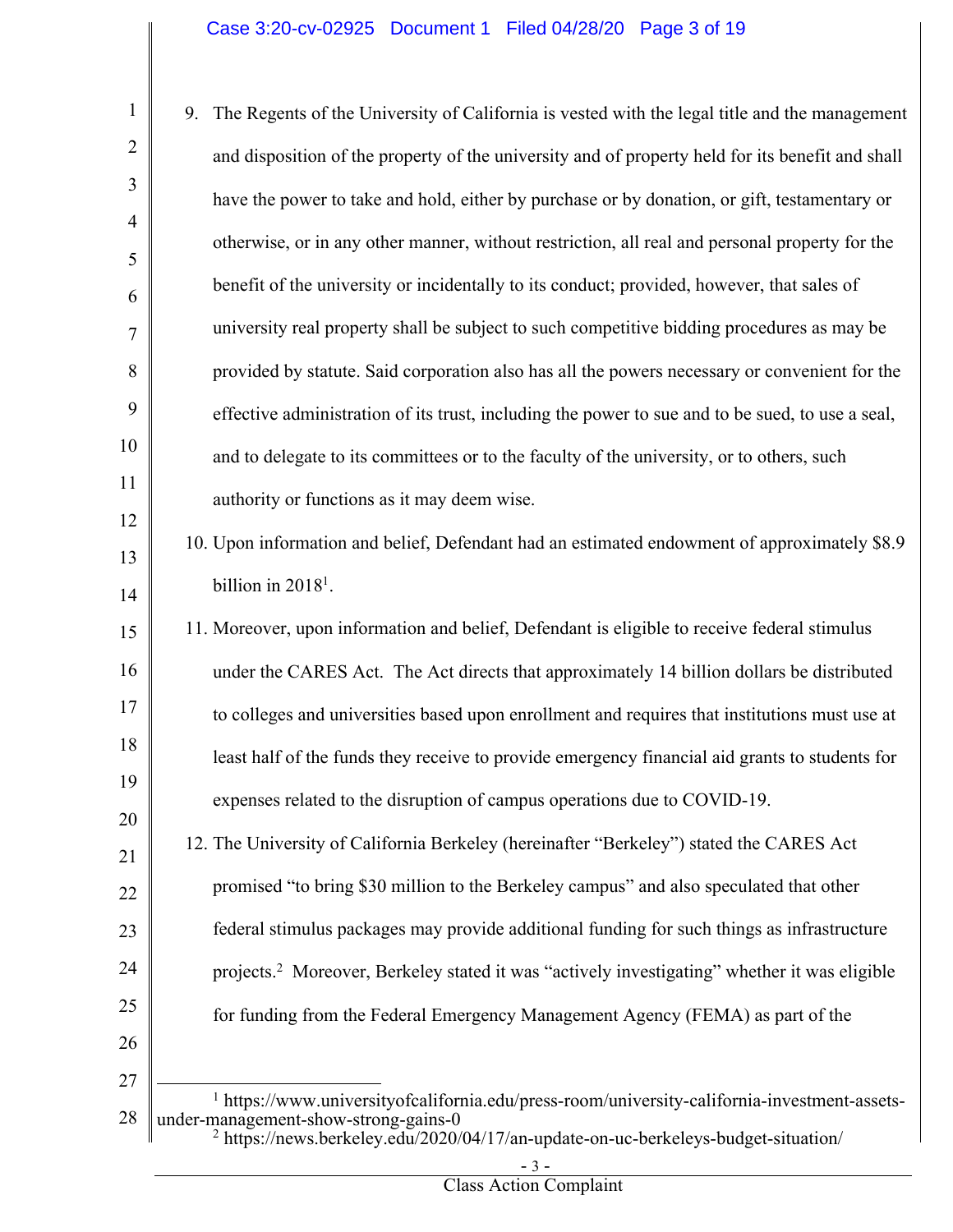| 1                   | 9. | The Regents of the University of California is vested with the legal title and the management                                                   |
|---------------------|----|-------------------------------------------------------------------------------------------------------------------------------------------------|
| $\overline{2}$      |    | and disposition of the property of the university and of property held for its benefit and shall                                                |
| 3                   |    | have the power to take and hold, either by purchase or by donation, or gift, testamentary or                                                    |
| $\overline{4}$<br>5 |    | otherwise, or in any other manner, without restriction, all real and personal property for the                                                  |
| 6                   |    | benefit of the university or incidentally to its conduct; provided, however, that sales of                                                      |
| 7                   |    | university real property shall be subject to such competitive bidding procedures as may be                                                      |
| 8                   |    | provided by statute. Said corporation also has all the powers necessary or convenient for the                                                   |
| 9                   |    | effective administration of its trust, including the power to sue and to be sued, to use a seal,                                                |
| 10                  |    | and to delegate to its committees or to the faculty of the university, or to others, such                                                       |
| 11                  |    | authority or functions as it may deem wise.                                                                                                     |
| 12                  |    | 10. Upon information and belief, Defendant had an estimated endowment of approximately \$8.9                                                    |
| 13<br>14            |    | billion in $20181$ .                                                                                                                            |
| 15                  |    | 11. Moreover, upon information and belief, Defendant is eligible to receive federal stimulus                                                    |
| 16                  |    | under the CARES Act. The Act directs that approximately 14 billion dollars be distributed                                                       |
| 17                  |    | to colleges and universities based upon enrollment and requires that institutions must use at                                                   |
| 18                  |    | least half of the funds they receive to provide emergency financial aid grants to students for                                                  |
| 19                  |    | expenses related to the disruption of campus operations due to COVID-19.                                                                        |
| 20<br>21            |    | 12. The University of California Berkeley (hereinafter "Berkeley") stated the CARES Act                                                         |
| 22                  |    | promised "to bring \$30 million to the Berkeley campus" and also speculated that other                                                          |
| 23                  |    | federal stimulus packages may provide additional funding for such things as infrastructure                                                      |
| 24                  |    | projects. <sup>2</sup> Moreover, Berkeley stated it was "actively investigating" whether it was eligible                                        |
| 25                  |    | for funding from the Federal Emergency Management Agency (FEMA) as part of the                                                                  |
| 26                  |    |                                                                                                                                                 |
| 27<br>28            |    | <sup>1</sup> https://www.universityofcalifornia.edu/press-room/university-california-investment-assets-<br>under-management-show-strong-gains-0 |

<sup>&</sup>lt;sup>2</sup> https://news.berkeley.edu/2020/04/17/an-update-on-uc-berkeleys-budget-situation/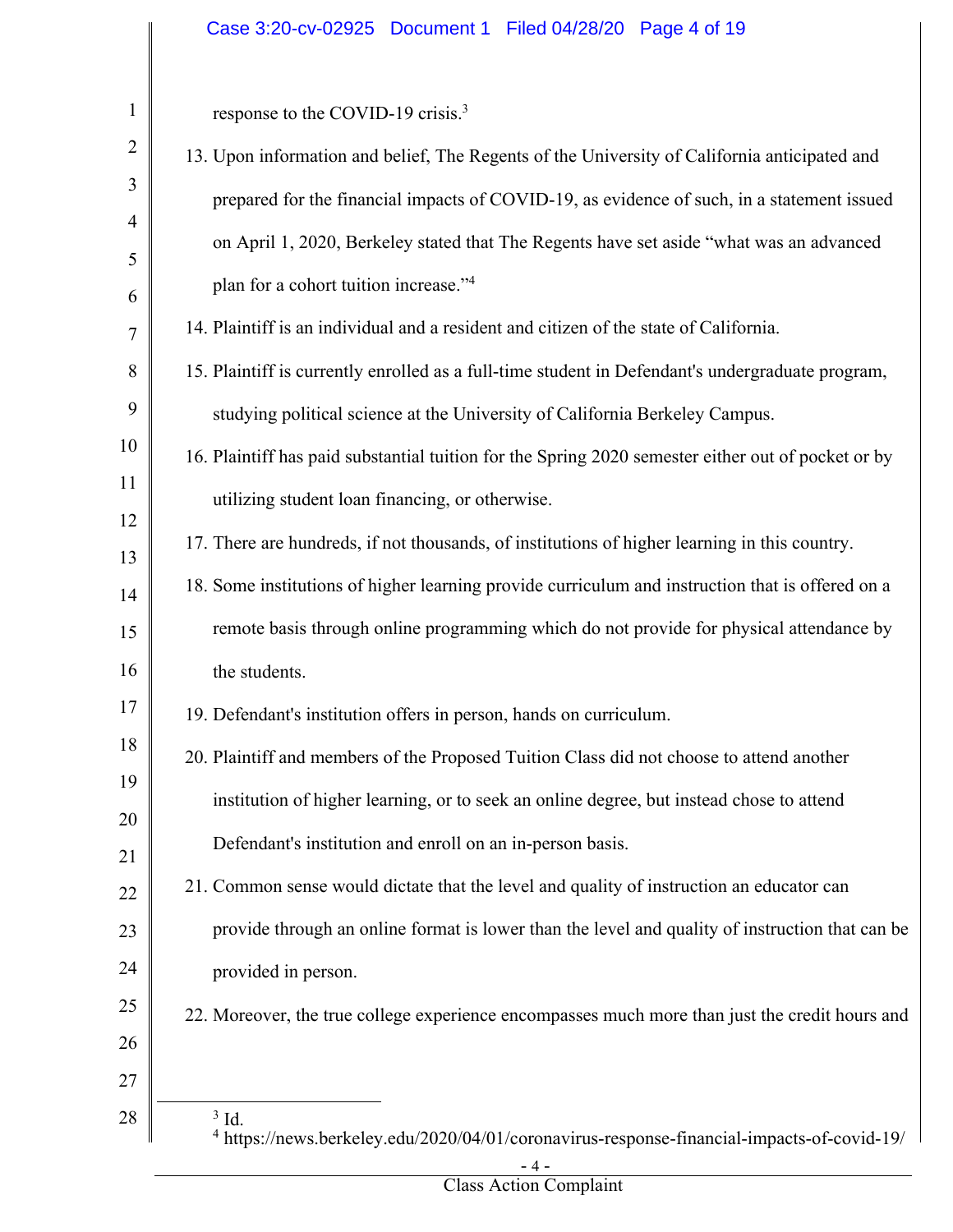# Case 3:20-cv-02925 Document 1 Filed 04/28/20 Page 4 of 19

| $\mathbf{1}$   | response to the COVID-19 crisis. <sup>3</sup>                                                                             |
|----------------|---------------------------------------------------------------------------------------------------------------------------|
| $\overline{2}$ | 13. Upon information and belief, The Regents of the University of California anticipated and                              |
| 3              | prepared for the financial impacts of COVID-19, as evidence of such, in a statement issued                                |
| 4              | on April 1, 2020, Berkeley stated that The Regents have set aside "what was an advanced                                   |
| 5              | plan for a cohort tuition increase."4                                                                                     |
| 6<br>7         | 14. Plaintiff is an individual and a resident and citizen of the state of California.                                     |
| 8              | 15. Plaintiff is currently enrolled as a full-time student in Defendant's undergraduate program,                          |
| 9              | studying political science at the University of California Berkeley Campus.                                               |
| 10             | 16. Plaintiff has paid substantial tuition for the Spring 2020 semester either out of pocket or by                        |
| 11             |                                                                                                                           |
| 12             | utilizing student loan financing, or otherwise.                                                                           |
| 13             | 17. There are hundreds, if not thousands, of institutions of higher learning in this country.                             |
| 14             | 18. Some institutions of higher learning provide curriculum and instruction that is offered on a                          |
| 15             | remote basis through online programming which do not provide for physical attendance by                                   |
| 16             | the students.                                                                                                             |
| 17             | 19. Defendant's institution offers in person, hands on curriculum.                                                        |
| 18             | 20. Plaintiff and members of the Proposed Tuition Class did not choose to attend another                                  |
| 19             | institution of higher learning, or to seek an online degree, but instead chose to attend                                  |
| 20             | Defendant's institution and enroll on an in-person basis.                                                                 |
| 21             | 21. Common sense would dictate that the level and quality of instruction an educator can                                  |
| 22<br>23       | provide through an online format is lower than the level and quality of instruction that can be                           |
| 24             | provided in person.                                                                                                       |
| 25             |                                                                                                                           |
| 26             | 22. Moreover, the true college experience encompasses much more than just the credit hours and                            |
| 27             |                                                                                                                           |
| 28             | $3$ Id.<br><sup>4</sup> https://news.berkeley.edu/2020/04/01/coronavirus-response-financial-impacts-of-covid-19/<br>$-4-$ |

Class Action Complaint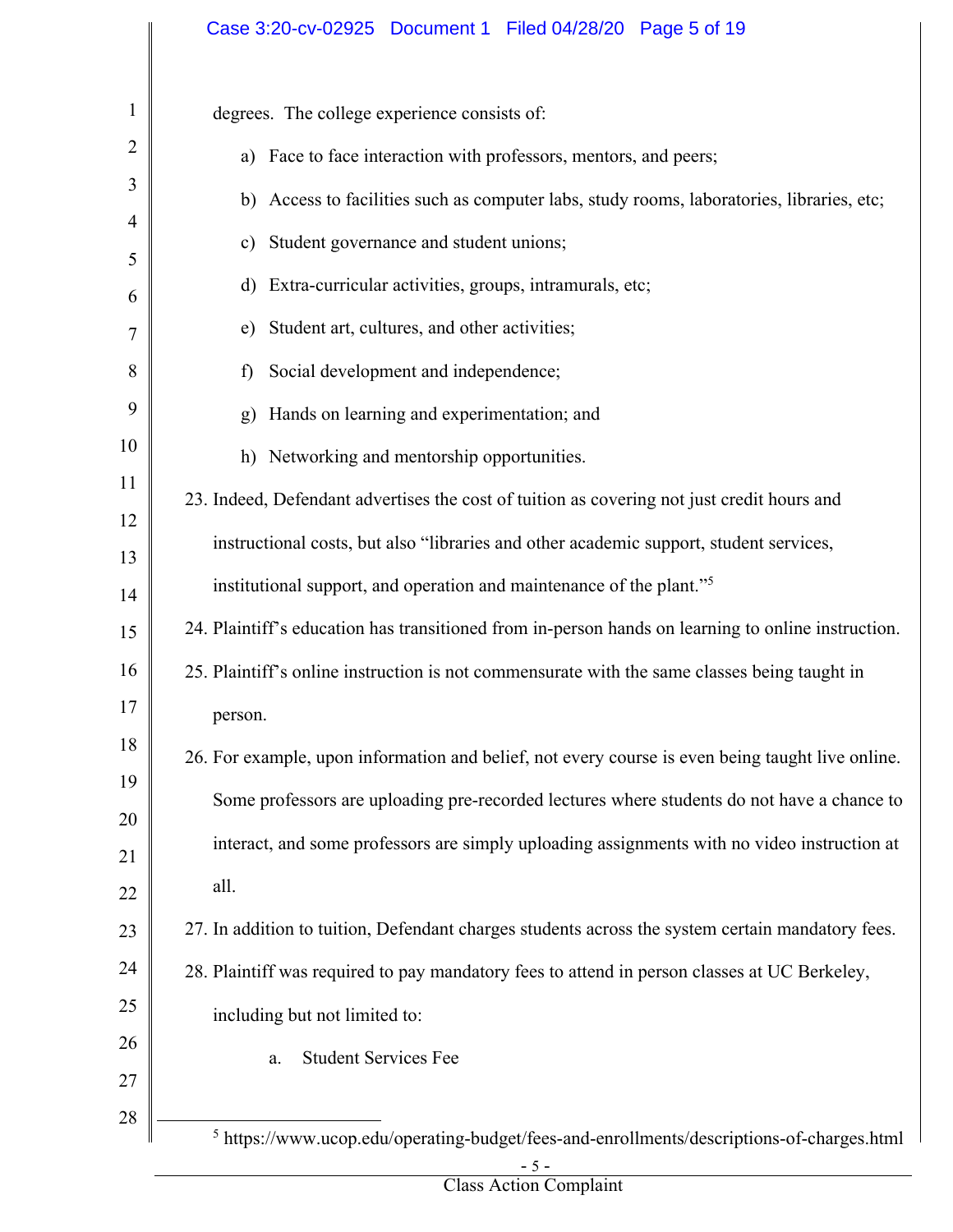# Case 3:20-cv-02925 Document 1 Filed 04/28/20 Page 5 of 19

 $\overline{\phantom{a}}$ 

| $\mathbf{1}$   | degrees. The college experience consists of:                                                          |
|----------------|-------------------------------------------------------------------------------------------------------|
| $\overline{2}$ | a) Face to face interaction with professors, mentors, and peers;                                      |
| 3              | b) Access to facilities such as computer labs, study rooms, laboratories, libraries, etc;             |
| 4              | Student governance and student unions;<br>c)                                                          |
| 5              | Extra-curricular activities, groups, intramurals, etc;<br>d)                                          |
| 6<br>7         | Student art, cultures, and other activities;<br>e)                                                    |
| 8              | Social development and independence;<br>f)                                                            |
| 9              | Hands on learning and experimentation; and<br>g)                                                      |
| 10             | h) Networking and mentorship opportunities.                                                           |
| 11             | 23. Indeed, Defendant advertises the cost of tuition as covering not just credit hours and            |
| 12             |                                                                                                       |
| 13             | instructional costs, but also "libraries and other academic support, student services,                |
| 14             | institutional support, and operation and maintenance of the plant." <sup>5</sup>                      |
| 15             | 24. Plaintiff's education has transitioned from in-person hands on learning to online instruction.    |
| 16             | 25. Plaintiff's online instruction is not commensurate with the same classes being taught in          |
| 17             | person.                                                                                               |
| 18             | 26. For example, upon information and belief, not every course is even being taught live online.      |
| 19             | Some professors are uploading pre-recorded lectures where students do not have a chance to            |
| 20             | interact, and some professors are simply uploading assignments with no video instruction at           |
| 21<br>22       | all.                                                                                                  |
| 23             | 27. In addition to tuition, Defendant charges students across the system certain mandatory fees.      |
| 24             | 28. Plaintiff was required to pay mandatory fees to attend in person classes at UC Berkeley,          |
| 25             | including but not limited to:                                                                         |
| 26             |                                                                                                       |
| 27             | <b>Student Services Fee</b><br>a.                                                                     |
| 28             |                                                                                                       |
|                | $^5$ https://www.ucop.edu/operating-budget/fees-and-enrollments/descriptions-of-charges.html<br>$-5-$ |

Class Action Complaint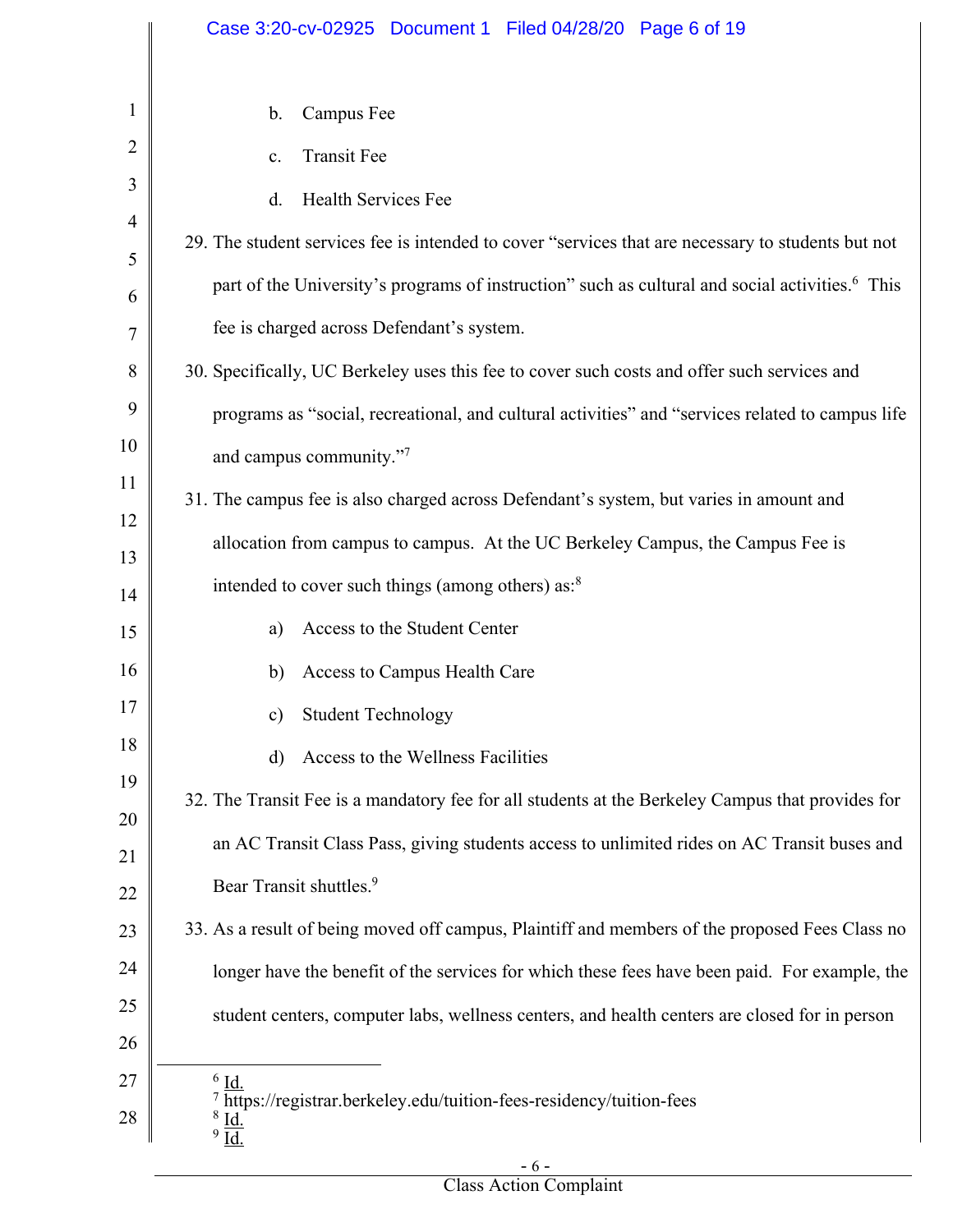|                | Case 3:20-cv-02925 Document 1 Filed 04/28/20 Page 6 of 19                                                   |
|----------------|-------------------------------------------------------------------------------------------------------------|
|                |                                                                                                             |
| $\mathbf{1}$   | Campus Fee<br>b.                                                                                            |
| 2              | <b>Transit Fee</b><br>c.                                                                                    |
| 3              | Health Services Fee<br>d.                                                                                   |
| $\overline{4}$ | 29. The student services fee is intended to cover "services that are necessary to students but not          |
| 5<br>6         | part of the University's programs of instruction" such as cultural and social activities. <sup>6</sup> This |
| 7              | fee is charged across Defendant's system.                                                                   |
| 8              | 30. Specifically, UC Berkeley uses this fee to cover such costs and offer such services and                 |
| 9              | programs as "social, recreational, and cultural activities" and "services related to campus life            |
| 10             | and campus community."7                                                                                     |
| 11             | 31. The campus fee is also charged across Defendant's system, but varies in amount and                      |
| 12<br>13       | allocation from campus to campus. At the UC Berkeley Campus, the Campus Fee is                              |
| 14             | intended to cover such things (among others) as: <sup>8</sup>                                               |
| 15             | Access to the Student Center<br>a)                                                                          |
| 16             | Access to Campus Health Care<br>b)                                                                          |
| 17             | c) Student Technology                                                                                       |
| 18             | Access to the Wellness Facilities<br>d)                                                                     |
| 19             | 32. The Transit Fee is a mandatory fee for all students at the Berkeley Campus that provides for            |
| 20<br>21       | an AC Transit Class Pass, giving students access to unlimited rides on AC Transit buses and                 |
| 22             | Bear Transit shuttles. <sup>9</sup>                                                                         |
| 23             | 33. As a result of being moved off campus, Plaintiff and members of the proposed Fees Class no              |
| 24             | longer have the benefit of the services for which these fees have been paid. For example, the               |
| 25             | student centers, computer labs, wellness centers, and health centers are closed for in person               |
| 26             |                                                                                                             |
| 27             | $6$ Id.<br>$7$ https://registrar.berkeley.edu/tuition-fees-residency/tuition-fees                           |
| 28             | $\frac{8}{9}$ $\underline{\underline{Id}}$ .                                                                |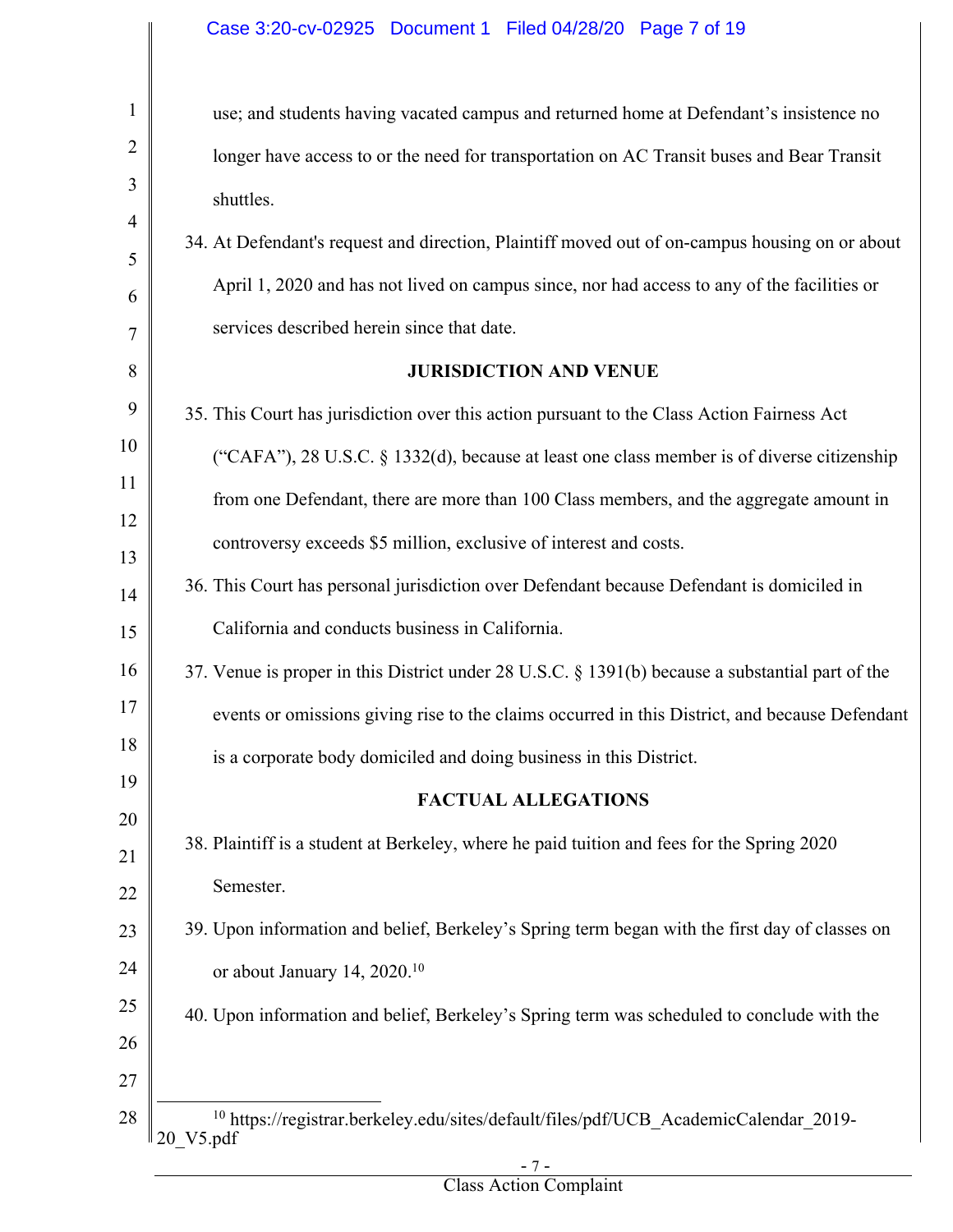# Case 3:20-cv-02925 Document 1 Filed 04/28/20 Page 7 of 19

| $\mathbf{1}$ | use; and students having vacated campus and returned home at Defendant's insistence no                                    |
|--------------|---------------------------------------------------------------------------------------------------------------------------|
|              | longer have access to or the need for transportation on AC Transit buses and Bear Transit                                 |
|              | shuttles.                                                                                                                 |
|              | 34. At Defendant's request and direction, Plaintiff moved out of on-campus housing on or about                            |
|              | April 1, 2020 and has not lived on campus since, nor had access to any of the facilities or                               |
|              | services described herein since that date.                                                                                |
|              | <b>JURISDICTION AND VENUE</b>                                                                                             |
|              | 35. This Court has jurisdiction over this action pursuant to the Class Action Fairness Act                                |
|              | ("CAFA"), 28 U.S.C. § 1332(d), because at least one class member is of diverse citizenship                                |
|              | from one Defendant, there are more than 100 Class members, and the aggregate amount in                                    |
|              | controversy exceeds \$5 million, exclusive of interest and costs.                                                         |
|              | 36. This Court has personal jurisdiction over Defendant because Defendant is domiciled in                                 |
|              | California and conducts business in California.                                                                           |
|              | 37. Venue is proper in this District under 28 U.S.C. § 1391(b) because a substantial part of the                          |
|              | events or omissions giving rise to the claims occurred in this District, and because Defendant                            |
|              | is a corporate body domiciled and doing business in this District.                                                        |
|              | <b>FACTUAL ALLEGATIONS</b>                                                                                                |
|              | 38. Plaintiff is a student at Berkeley, where he paid tuition and fees for the Spring 2020                                |
|              | Semester.                                                                                                                 |
|              | 39. Upon information and belief, Berkeley's Spring term began with the first day of classes on                            |
|              | or about January 14, 2020. <sup>10</sup>                                                                                  |
|              | 40. Upon information and belief, Berkeley's Spring term was scheduled to conclude with the                                |
|              |                                                                                                                           |
|              |                                                                                                                           |
|              | <sup>10</sup> https://registrar.berkeley.edu/sites/default/files/pdf/UCB_AcademicCalendar_2019-<br>$20$ <sup>V5.pdf</sup> |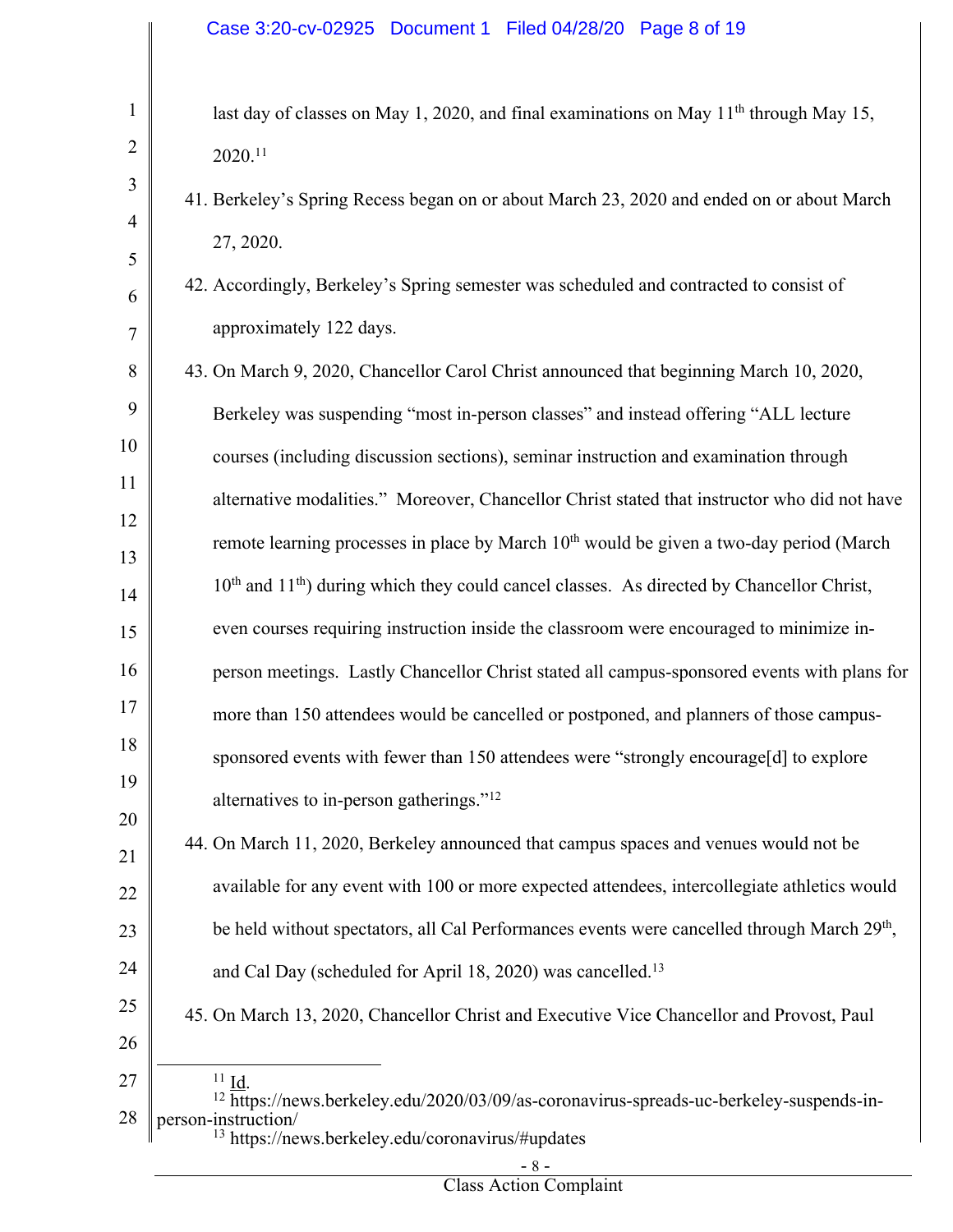last day of classes on May 1, 2020, and final examinations on May  $11<sup>th</sup>$  through May 15, 2020. 11

- 41. Berkeley's Spring Recess began on or about March 23, 2020 and ended on or about March 27, 2020.
- 42. Accordingly, Berkeley's Spring semester was scheduled and contracted to consist of approximately 122 days.
- 8 9 10 11 12 13 14 15 16 17 18 19 20 43. On March 9, 2020, Chancellor Carol Christ announced that beginning March 10, 2020, Berkeley was suspending "most in-person classes" and instead offering "ALL lecture courses (including discussion sections), seminar instruction and examination through alternative modalities." Moreover, Chancellor Christ stated that instructor who did not have remote learning processes in place by March  $10<sup>th</sup>$  would be given a two-day period (March  $10<sup>th</sup>$  and  $11<sup>th</sup>$ ) during which they could cancel classes. As directed by Chancellor Christ, even courses requiring instruction inside the classroom were encouraged to minimize inperson meetings. Lastly Chancellor Christ stated all campus-sponsored events with plans for more than 150 attendees would be cancelled or postponed, and planners of those campussponsored events with fewer than 150 attendees were "strongly encourage[d] to explore alternatives to in-person gatherings."12
- 21 22 23 24 44. On March 11, 2020, Berkeley announced that campus spaces and venues would not be available for any event with 100 or more expected attendees, intercollegiate athletics would be held without spectators, all Cal Performances events were cancelled through March 29<sup>th</sup>, and Cal Day (scheduled for April 18, 2020) was cancelled.<sup>13</sup>
- 25 45. On March 13, 2020, Chancellor Christ and Executive Vice Chancellor and Provost, Paul
- 26

1

2

3

4

5

6

7

- 27
- 28  $\frac{11}{12}$   $\underline{Id}$ .<br><sup>12</sup> https://news.berkeley.edu/2020/03/09/as-coronavirus-spreads-uc-berkeley-suspends-inperson-instruction/ <sup>13</sup> https://news.berkeley.edu/coronavirus/#updates
	- 8 -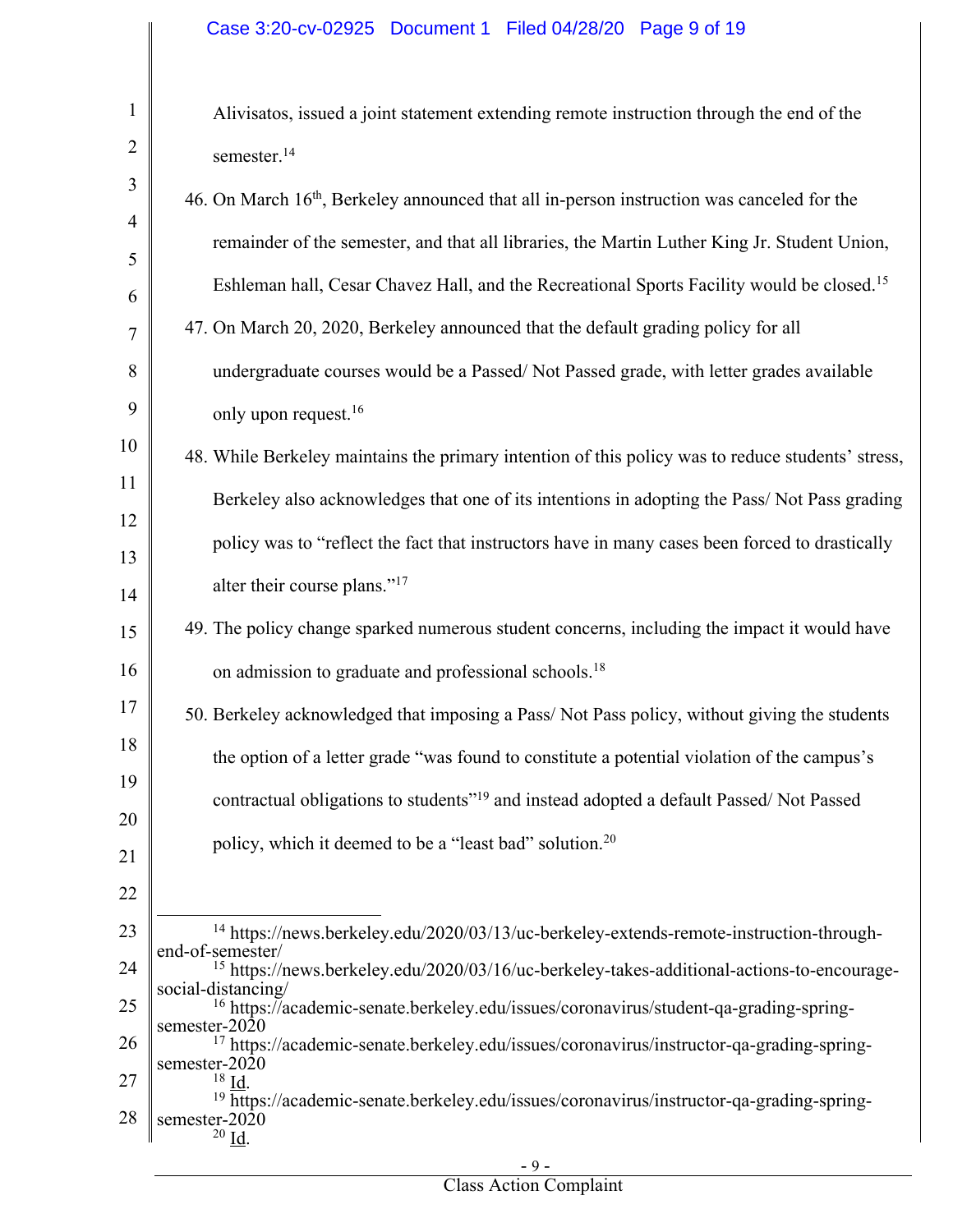1 2 3 4 5 6 7 8 9 10 11 12 13 14 15 16 17 18 19 20 21 22 23 24 25 26 27 28 Alivisatos, issued a joint statement extending remote instruction through the end of the semester.<sup>14</sup> 46. On March 16th, Berkeley announced that all in-person instruction was canceled for the remainder of the semester, and that all libraries, the Martin Luther King Jr. Student Union, Eshleman hall, Cesar Chavez Hall, and the Recreational Sports Facility would be closed.15 47. On March 20, 2020, Berkeley announced that the default grading policy for all undergraduate courses would be a Passed/ Not Passed grade, with letter grades available only upon request.<sup>16</sup> 48. While Berkeley maintains the primary intention of this policy was to reduce students' stress, Berkeley also acknowledges that one of its intentions in adopting the Pass/ Not Pass grading policy was to "reflect the fact that instructors have in many cases been forced to drastically alter their course plans."17 49. The policy change sparked numerous student concerns, including the impact it would have on admission to graduate and professional schools.18 50. Berkeley acknowledged that imposing a Pass/ Not Pass policy, without giving the students the option of a letter grade "was found to constitute a potential violation of the campus's contractual obligations to students"19 and instead adopted a default Passed/ Not Passed policy, which it deemed to be a "least bad" solution.20 <sup>14</sup> https://news.berkeley.edu/2020/03/13/uc-berkeley-extends-remote-instruction-through-<br>end-of-semester/ <sup>15</sup> https://news.berkeley.edu/2020/03/16/uc-berkeley-takes-additional-actions-to-encourage-social-distancing/ <sup>16</sup> https://academic-senate.berkeley.edu/issues/coronavirus/student-qa-grading-spring-<br>semester-2020 <sup>17</sup> https://academic-senate.berkeley.edu/issues/coronavirus/instructor-qa-grading-spring-<br>semester-2020<br><sup>18</sup> Id. <sup>19</sup> https://academic-senate.berkeley.edu/issues/coronavirus/instructor-qa-grading-springsemester-2020 <sup>20</sup> Id.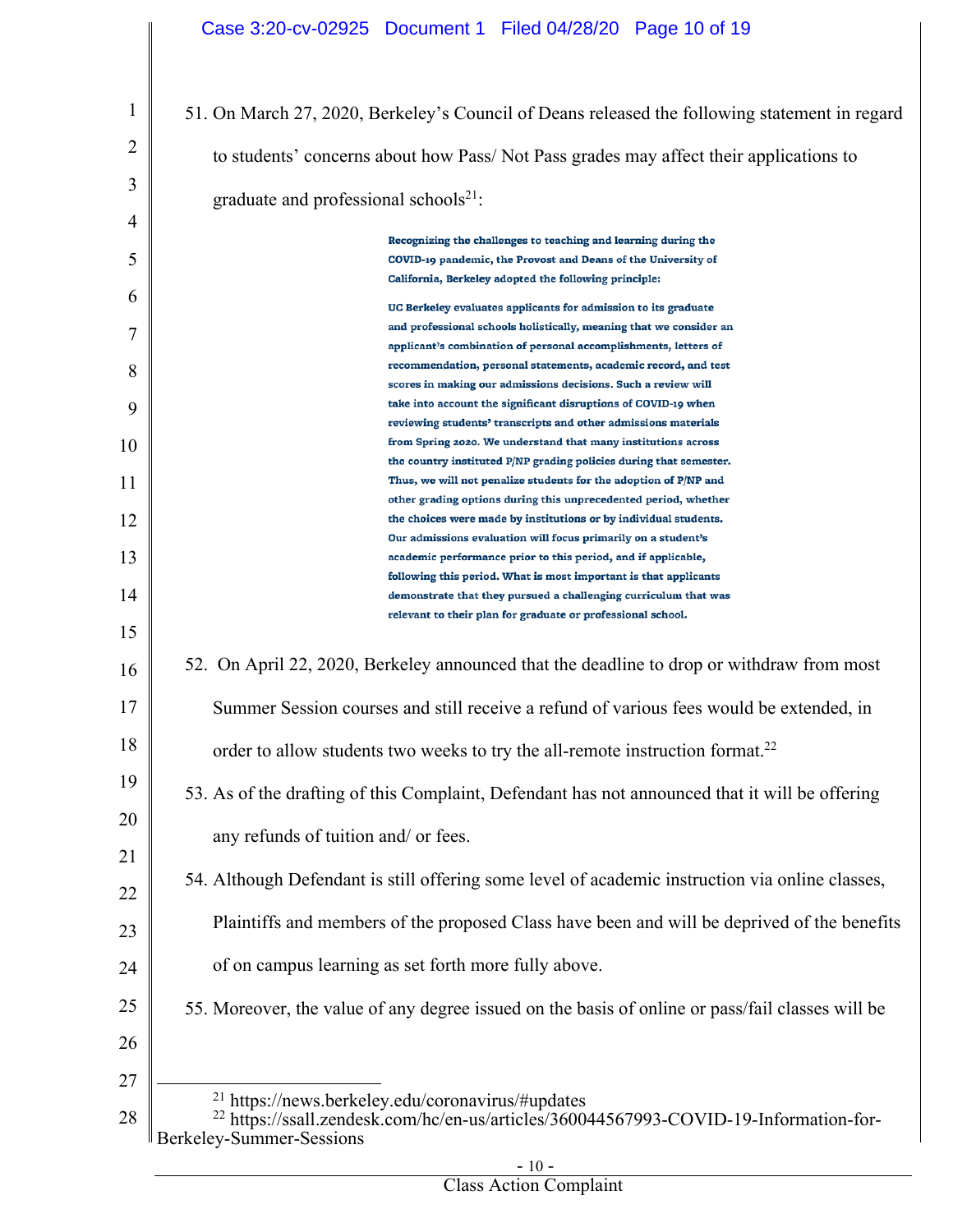| 1  | 51. On March 27, 2020, Berkeley's Council of Deans released the following statement in regard                                                                                                |
|----|----------------------------------------------------------------------------------------------------------------------------------------------------------------------------------------------|
| 2  | to students' concerns about how Pass/Not Pass grades may affect their applications to                                                                                                        |
| 3  | graduate and professional schools $21$ :                                                                                                                                                     |
| 4  |                                                                                                                                                                                              |
| 5  | Recognizing the challenges to teaching and learning during the<br>COVID-19 pandemic, the Provost and Deans of the University of                                                              |
|    | California, Berkeley adopted the following principle:                                                                                                                                        |
| 6  | UC Berkeley evaluates applicants for admission to its graduate                                                                                                                               |
| 7  | and professional schools holistically, meaning that we consider an                                                                                                                           |
|    | applicant's combination of personal accomplishments, letters of                                                                                                                              |
| 8  | recommendation, personal statements, academic record, and test                                                                                                                               |
|    | scores in making our admissions decisions. Such a review will                                                                                                                                |
| 9  | take into account the significant disruptions of COVID-19 when<br>reviewing students' transcripts and other admissions materials                                                             |
| 10 | from Spring 2020. We understand that many institutions across                                                                                                                                |
|    | the country instituted P/NP grading policies during that semester.                                                                                                                           |
| 11 | Thus, we will not penalize students for the adoption of P/NP and                                                                                                                             |
|    | other grading options during this unprecedented period, whether                                                                                                                              |
| 12 | the choices were made by institutions or by individual students.                                                                                                                             |
|    | Our admissions evaluation will focus primarily on a student's                                                                                                                                |
| 13 | academic performance prior to this period, and if applicable,                                                                                                                                |
| 14 | following this period. What is most important is that applicants<br>demonstrate that they pursued a challenging curriculum that was                                                          |
|    | relevant to their plan for graduate or professional school.                                                                                                                                  |
| 15 |                                                                                                                                                                                              |
| 16 | 52. On April 22, 2020, Berkeley announced that the deadline to drop or withdraw from most                                                                                                    |
| 17 | Summer Session courses and still receive a refund of various fees would be extended, in                                                                                                      |
| 18 | order to allow students two weeks to try the all-remote instruction format. <sup>22</sup>                                                                                                    |
| 19 | 53. As of the drafting of this Complaint, Defendant has not announced that it will be offering                                                                                               |
| 20 |                                                                                                                                                                                              |
|    | any refunds of tuition and/ or fees.                                                                                                                                                         |
| 21 |                                                                                                                                                                                              |
| 22 | 54. Although Defendant is still offering some level of academic instruction via online classes,                                                                                              |
|    |                                                                                                                                                                                              |
| 23 | Plaintiffs and members of the proposed Class have been and will be deprived of the benefits                                                                                                  |
|    | of on campus learning as set forth more fully above.                                                                                                                                         |
| 24 |                                                                                                                                                                                              |
| 25 | 55. Moreover, the value of any degree issued on the basis of online or pass/fail classes will be                                                                                             |
| 26 |                                                                                                                                                                                              |
|    |                                                                                                                                                                                              |
| 27 |                                                                                                                                                                                              |
| 28 | <sup>21</sup> https://news.berkeley.edu/coronavirus/#updates<br><sup>22</sup> https://ssall.zendesk.com/hc/en-us/articles/360044567993-COVID-19-Information-for-<br>Berkeley-Summer-Sessions |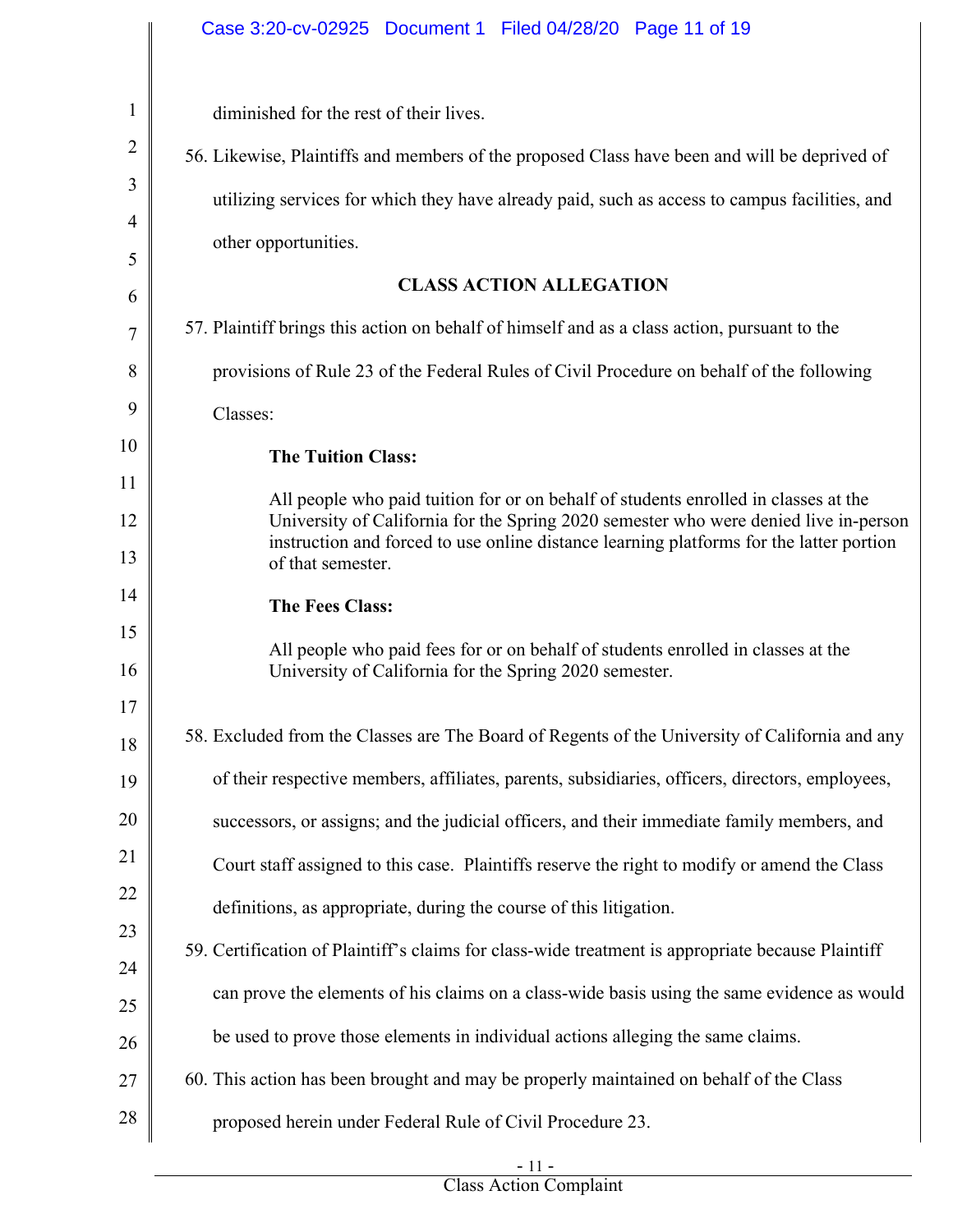|              | Case 3:20-cv-02925  Document 1  Filed 04/28/20  Page 11 of 19                                                                                                               |
|--------------|-----------------------------------------------------------------------------------------------------------------------------------------------------------------------------|
| $\mathbf{1}$ | diminished for the rest of their lives.                                                                                                                                     |
| 2            | 56. Likewise, Plaintiffs and members of the proposed Class have been and will be deprived of                                                                                |
| 3            | utilizing services for which they have already paid, such as access to campus facilities, and                                                                               |
| 4            | other opportunities.                                                                                                                                                        |
| 5<br>6       | <b>CLASS ACTION ALLEGATION</b>                                                                                                                                              |
| 7            | 57. Plaintiff brings this action on behalf of himself and as a class action, pursuant to the                                                                                |
| 8            | provisions of Rule 23 of the Federal Rules of Civil Procedure on behalf of the following                                                                                    |
| 9            | Classes:                                                                                                                                                                    |
| 10           | <b>The Tuition Class:</b>                                                                                                                                                   |
| 11           |                                                                                                                                                                             |
| 12           | All people who paid tuition for or on behalf of students enrolled in classes at the<br>University of California for the Spring 2020 semester who were denied live in-person |
| 13           | instruction and forced to use online distance learning platforms for the latter portion<br>of that semester.                                                                |
| 14           | <b>The Fees Class:</b>                                                                                                                                                      |
| 15           | All people who paid fees for or on behalf of students enrolled in classes at the                                                                                            |
| 16           | University of California for the Spring 2020 semester.                                                                                                                      |
| 17<br>18     | 58. Excluded from the Classes are The Board of Regents of the University of California and any                                                                              |
| 19           | of their respective members, affiliates, parents, subsidiaries, officers, directors, employees,                                                                             |
| 20           | successors, or assigns; and the judicial officers, and their immediate family members, and                                                                                  |
| 21           | Court staff assigned to this case. Plaintiffs reserve the right to modify or amend the Class                                                                                |
| 22           | definitions, as appropriate, during the course of this litigation.                                                                                                          |
| 23           | 59. Certification of Plaintiff's claims for class-wide treatment is appropriate because Plaintiff                                                                           |
| 24           |                                                                                                                                                                             |
| 25           | can prove the elements of his claims on a class-wide basis using the same evidence as would                                                                                 |
| 26           | be used to prove those elements in individual actions alleging the same claims.                                                                                             |
| 27           | 60. This action has been brought and may be properly maintained on behalf of the Class                                                                                      |
| 28           | proposed herein under Federal Rule of Civil Procedure 23.                                                                                                                   |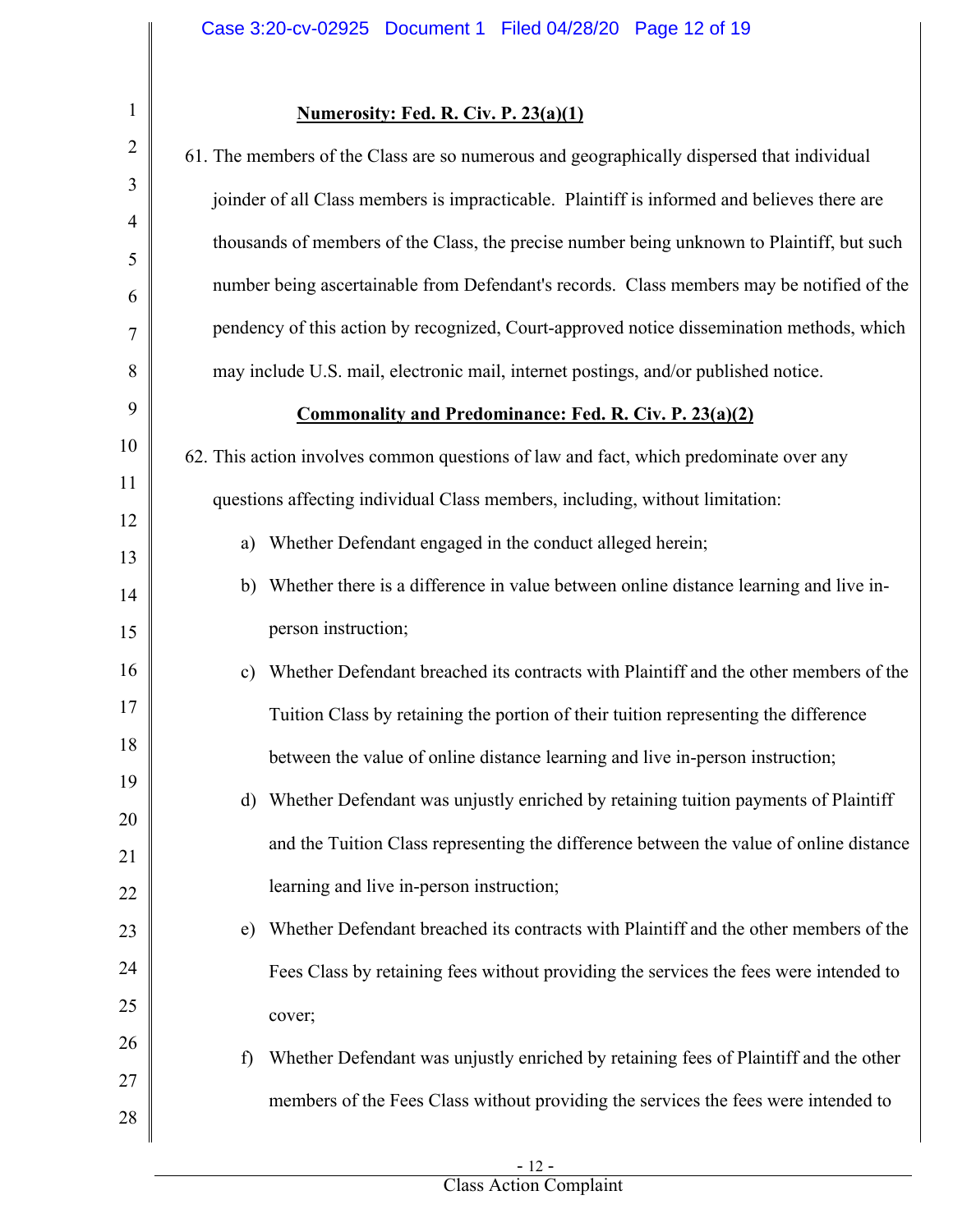# **Numerosity: Fed. R. Civ. P. 23(a)(1)**

| $\overline{2}$      | 61. The members of the Class are so numerous and geographically dispersed that individual      |
|---------------------|------------------------------------------------------------------------------------------------|
| 3                   | joinder of all Class members is impracticable. Plaintiff is informed and believes there are    |
| $\overline{4}$<br>5 | thousands of members of the Class, the precise number being unknown to Plaintiff, but such     |
| 6                   | number being ascertainable from Defendant's records. Class members may be notified of the      |
| 7                   | pendency of this action by recognized, Court-approved notice dissemination methods, which      |
| 8                   | may include U.S. mail, electronic mail, internet postings, and/or published notice.            |
| 9                   | <b>Commonality and Predominance: Fed. R. Civ. P. 23(a)(2)</b>                                  |
| 10                  | 62. This action involves common questions of law and fact, which predominate over any          |
| 11                  | questions affecting individual Class members, including, without limitation:                   |
| 12<br>13            | Whether Defendant engaged in the conduct alleged herein;<br>a)                                 |
| 14                  | Whether there is a difference in value between online distance learning and live in-<br>b)     |
| 15                  | person instruction;                                                                            |
| 16                  | Whether Defendant breached its contracts with Plaintiff and the other members of the<br>c)     |
| 17                  | Tuition Class by retaining the portion of their tuition representing the difference            |
| 18                  | between the value of online distance learning and live in-person instruction;                  |
| 19<br>20            | Whether Defendant was unjustly enriched by retaining tuition payments of Plaintiff<br>$\rm d)$ |
| 21                  | and the Tuition Class representing the difference between the value of online distance         |
| 22                  | learning and live in-person instruction;                                                       |
| 23                  | Whether Defendant breached its contracts with Plaintiff and the other members of the<br>e)     |
| 24                  | Fees Class by retaining fees without providing the services the fees were intended to          |
| 25                  | cover;                                                                                         |
| 26                  | Whether Defendant was unjustly enriched by retaining fees of Plaintiff and the other<br>f)     |
| 27                  | members of the Fees Class without providing the services the fees were intended to             |
| 28                  |                                                                                                |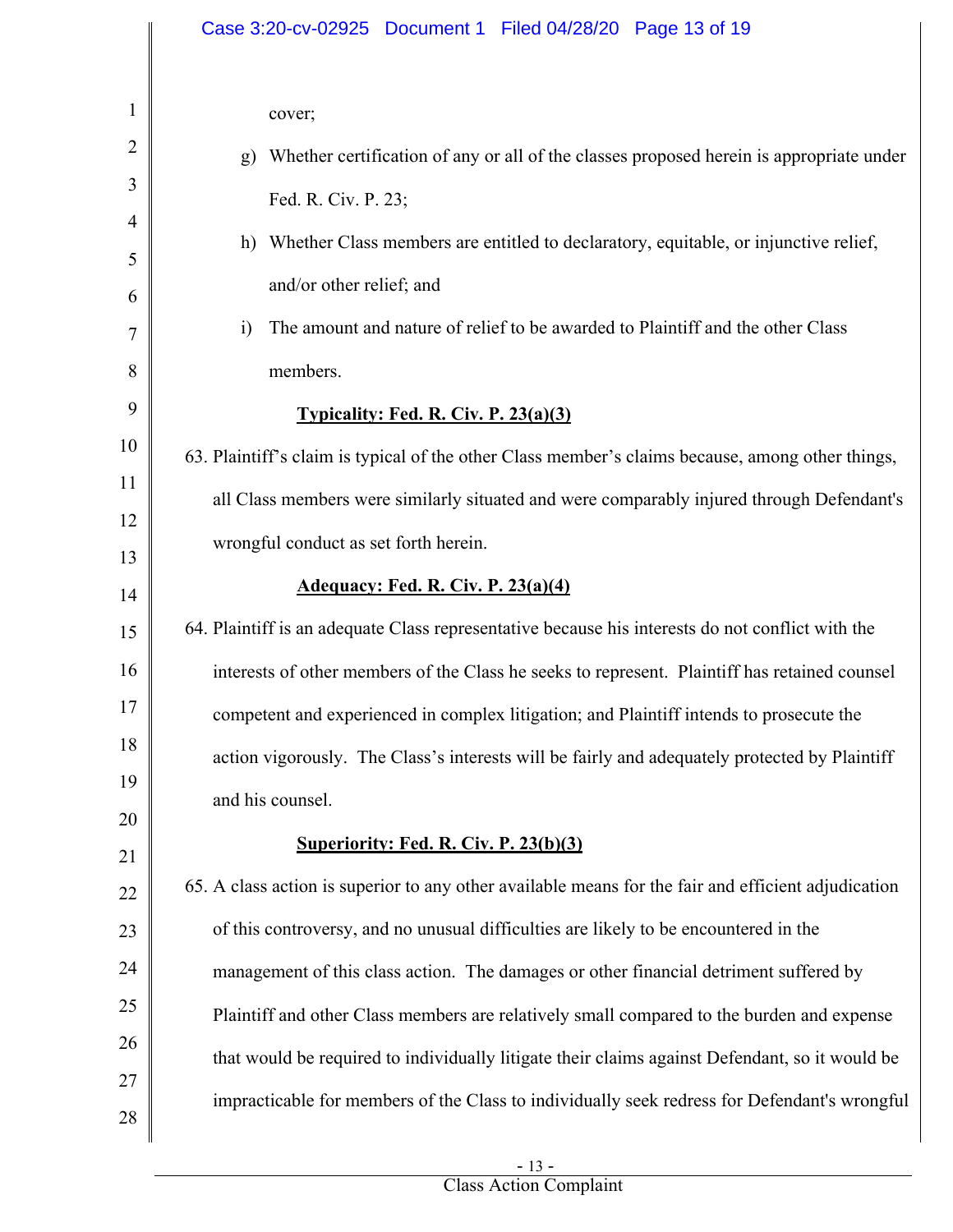|                                      | Case 3:20-cv-02925 Document 1 Filed 04/28/20 Page 13 of 19                                                                                                                                                                                                                                                                                                       |
|--------------------------------------|------------------------------------------------------------------------------------------------------------------------------------------------------------------------------------------------------------------------------------------------------------------------------------------------------------------------------------------------------------------|
| 1<br>2<br>3<br>4<br>5<br>6<br>7<br>8 | cover;<br>Whether certification of any or all of the classes proposed herein is appropriate under<br>g)<br>Fed. R. Civ. P. 23;<br>h) Whether Class members are entitled to declaratory, equitable, or injunctive relief,<br>and/or other relief; and<br>The amount and nature of relief to be awarded to Plaintiff and the other Class<br>$\ddot{1}$<br>members. |
| 9                                    | Typicality: Fed. R. Civ. P. 23(a)(3)                                                                                                                                                                                                                                                                                                                             |
| 10<br>11<br>12<br>13                 | 63. Plaintiff's claim is typical of the other Class member's claims because, among other things,<br>all Class members were similarly situated and were comparably injured through Defendant's<br>wrongful conduct as set forth herein.                                                                                                                           |
| 14                                   | <b>Adequacy: Fed. R. Civ. P. 23(a)(4)</b>                                                                                                                                                                                                                                                                                                                        |
| 15<br>16                             | 64. Plaintiff is an adequate Class representative because his interests do not conflict with the<br>interests of other members of the Class he seeks to represent. Plaintiff has retained counsel                                                                                                                                                                |
| 17                                   | competent and experienced in complex litigation; and Plaintiff intends to prosecute the                                                                                                                                                                                                                                                                          |
| 18<br>19                             | action vigorously. The Class's interests will be fairly and adequately protected by Plaintiff<br>and his counsel.                                                                                                                                                                                                                                                |
| 20<br>21                             | <b>Superiority: Fed. R. Civ. P. 23(b)(3)</b>                                                                                                                                                                                                                                                                                                                     |
| 22                                   | 65. A class action is superior to any other available means for the fair and efficient adjudication                                                                                                                                                                                                                                                              |
| 23                                   | of this controversy, and no unusual difficulties are likely to be encountered in the                                                                                                                                                                                                                                                                             |
| 24                                   | management of this class action. The damages or other financial detriment suffered by                                                                                                                                                                                                                                                                            |
| 25                                   | Plaintiff and other Class members are relatively small compared to the burden and expense                                                                                                                                                                                                                                                                        |
| 26                                   | that would be required to individually litigate their claims against Defendant, so it would be                                                                                                                                                                                                                                                                   |
| 27<br>28                             | impracticable for members of the Class to individually seek redress for Defendant's wrongful                                                                                                                                                                                                                                                                     |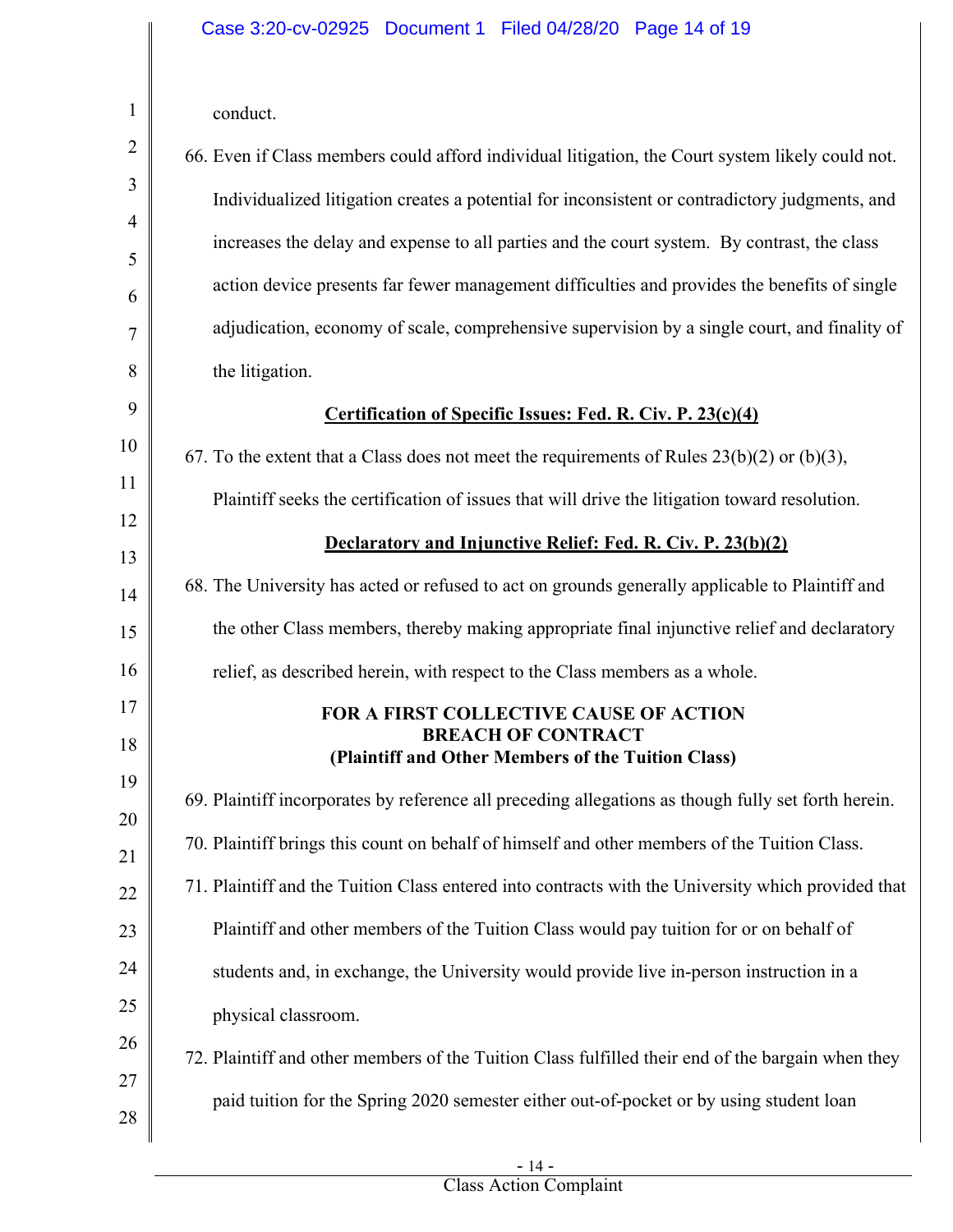| conduct. |
|----------|
|          |

1

| $\overline{2}$ | 66. Even if Class members could afford individual litigation, the Court system likely could not.    |
|----------------|-----------------------------------------------------------------------------------------------------|
| 3              | Individualized litigation creates a potential for inconsistent or contradictory judgments, and      |
| $\overline{4}$ | increases the delay and expense to all parties and the court system. By contrast, the class         |
| 5              |                                                                                                     |
| 6              | action device presents far fewer management difficulties and provides the benefits of single        |
| 7              | adjudication, economy of scale, comprehensive supervision by a single court, and finality of        |
| 8              | the litigation.                                                                                     |
| 9              | <b>Certification of Specific Issues: Fed. R. Civ. P. 23(c)(4)</b>                                   |
| 10             | 67. To the extent that a Class does not meet the requirements of Rules $23(b)(2)$ or $(b)(3)$ ,     |
| 11             | Plaintiff seeks the certification of issues that will drive the litigation toward resolution.       |
| 12             | Declaratory and Injunctive Relief: Fed. R. Civ. P. 23(b)(2)                                         |
| 13             | 68. The University has acted or refused to act on grounds generally applicable to Plaintiff and     |
| 14             |                                                                                                     |
| 15             | the other Class members, thereby making appropriate final injunctive relief and declaratory         |
| 16             | relief, as described herein, with respect to the Class members as a whole.                          |
| 17             | <b>FOR A FIRST COLLECTIVE CAUSE OF ACTION</b><br><b>BREACH OF CONTRACT</b>                          |
| 18             | (Plaintiff and Other Members of the Tuition Class)                                                  |
| 19             | 69. Plaintiff incorporates by reference all preceding allegations as though fully set forth herein. |
| 20<br>21       | 70. Plaintiff brings this count on behalf of himself and other members of the Tuition Class.        |
| 22             | 71. Plaintiff and the Tuition Class entered into contracts with the University which provided that  |
| 23             | Plaintiff and other members of the Tuition Class would pay tuition for or on behalf of              |
| 24             | students and, in exchange, the University would provide live in-person instruction in a             |
| 25             | physical classroom.                                                                                 |
| 26             |                                                                                                     |
| 27             | 72. Plaintiff and other members of the Tuition Class fulfilled their end of the bargain when they   |
| 28             | paid tuition for the Spring 2020 semester either out-of-pocket or by using student loan             |
|                |                                                                                                     |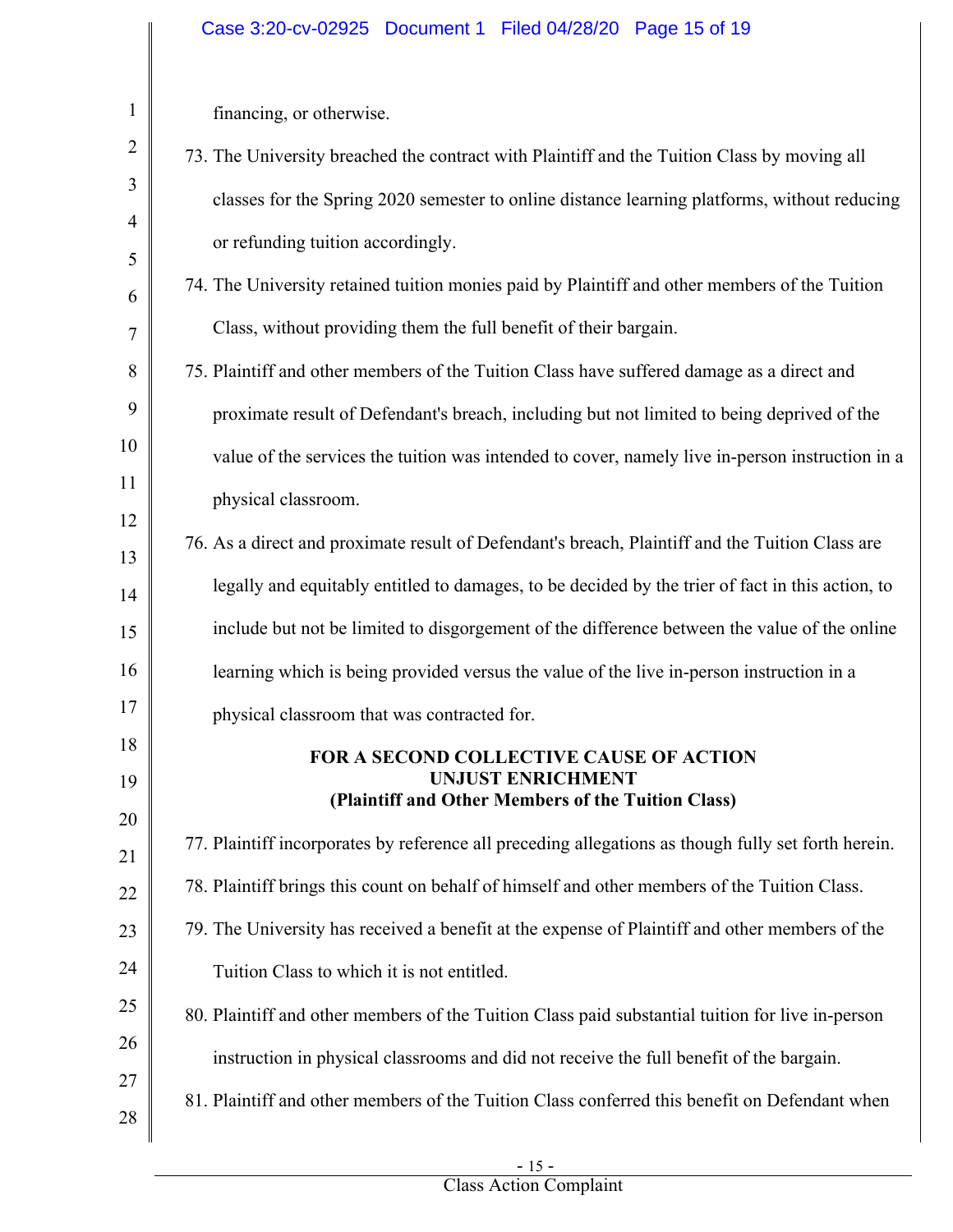| $\mathbf{1}$   | financing, or otherwise.                                                                            |
|----------------|-----------------------------------------------------------------------------------------------------|
| $\overline{2}$ | 73. The University breached the contract with Plaintiff and the Tuition Class by moving all         |
| 3              | classes for the Spring 2020 semester to online distance learning platforms, without reducing        |
| 4<br>5         | or refunding tuition accordingly.                                                                   |
| 6              | 74. The University retained tuition monies paid by Plaintiff and other members of the Tuition       |
| 7              | Class, without providing them the full benefit of their bargain.                                    |
| 8              | 75. Plaintiff and other members of the Tuition Class have suffered damage as a direct and           |
| 9              | proximate result of Defendant's breach, including but not limited to being deprived of the          |
| 10             | value of the services the tuition was intended to cover, namely live in-person instruction in a     |
| 11             | physical classroom.                                                                                 |
| 12<br>13       | 76. As a direct and proximate result of Defendant's breach, Plaintiff and the Tuition Class are     |
| 14             | legally and equitably entitled to damages, to be decided by the trier of fact in this action, to    |
| 15             | include but not be limited to disgorgement of the difference between the value of the online        |
| 16             | learning which is being provided versus the value of the live in-person instruction in a            |
| 17             | physical classroom that was contracted for.                                                         |
| 18             | FOR A SECOND COLLECTIVE CAUSE OF ACTION                                                             |
| 19             | UNJUST ENRICHMENT<br>(Plaintiff and Other Members of the Tuition Class)                             |
| 20<br>21       | 77. Plaintiff incorporates by reference all preceding allegations as though fully set forth herein. |
| 22             | 78. Plaintiff brings this count on behalf of himself and other members of the Tuition Class.        |
| 23             | 79. The University has received a benefit at the expense of Plaintiff and other members of the      |
| 24             | Tuition Class to which it is not entitled.                                                          |
| 25             | 80. Plaintiff and other members of the Tuition Class paid substantial tuition for live in-person    |
| 26             | instruction in physical classrooms and did not receive the full benefit of the bargain.             |
| 27             | 81. Plaintiff and other members of the Tuition Class conferred this benefit on Defendant when       |
| 28             |                                                                                                     |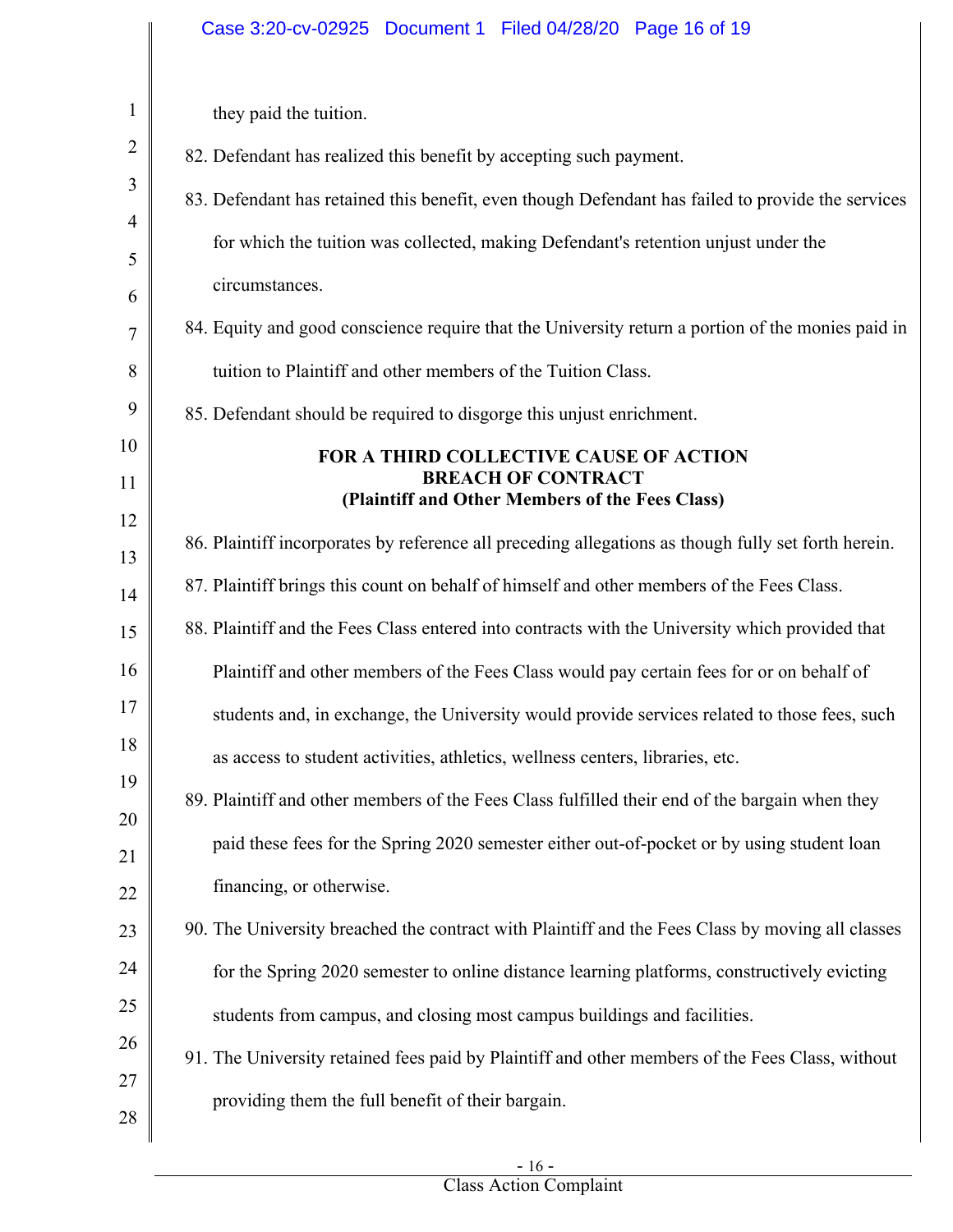|                | Case 3:20-cv-02925 Document 1 Filed 04/28/20 Page 16 of 19                                          |
|----------------|-----------------------------------------------------------------------------------------------------|
|                |                                                                                                     |
| $\mathbf{1}$   | they paid the tuition.                                                                              |
| $\overline{2}$ | 82. Defendant has realized this benefit by accepting such payment.                                  |
| 3              | 83. Defendant has retained this benefit, even though Defendant has failed to provide the services   |
| 4<br>5         | for which the tuition was collected, making Defendant's retention unjust under the                  |
| 6              | circumstances.                                                                                      |
| 7              | 84. Equity and good conscience require that the University return a portion of the monies paid in   |
| 8              | tuition to Plaintiff and other members of the Tuition Class.                                        |
| 9              | 85. Defendant should be required to disgorge this unjust enrichment.                                |
| 10             | FOR A THIRD COLLECTIVE CAUSE OF ACTION                                                              |
| 11             | <b>BREACH OF CONTRACT</b><br>(Plaintiff and Other Members of the Fees Class)                        |
| 12             | 86. Plaintiff incorporates by reference all preceding allegations as though fully set forth herein. |
| 13<br>14       | 87. Plaintiff brings this count on behalf of himself and other members of the Fees Class.           |
| 15             | 88. Plaintiff and the Fees Class entered into contracts with the University which provided that     |
| 16             | Plaintiff and other members of the Fees Class would pay certain fees for or on behalf of            |
| 17             | students and, in exchange, the University would provide services related to those fees, such        |
| 18             | as access to student activities, athletics, wellness centers, libraries, etc.                       |
| 19             | 89. Plaintiff and other members of the Fees Class fulfilled their end of the bargain when they      |
| 20             | paid these fees for the Spring 2020 semester either out-of-pocket or by using student loan          |
| 21             | financing, or otherwise.                                                                            |
| 22<br>23       | 90. The University breached the contract with Plaintiff and the Fees Class by moving all classes    |
| 24             | for the Spring 2020 semester to online distance learning platforms, constructively evicting         |
| 25             | students from campus, and closing most campus buildings and facilities.                             |
| 26             |                                                                                                     |
| 27             | 91. The University retained fees paid by Plaintiff and other members of the Fees Class, without     |
| 28             | providing them the full benefit of their bargain.                                                   |
|                |                                                                                                     |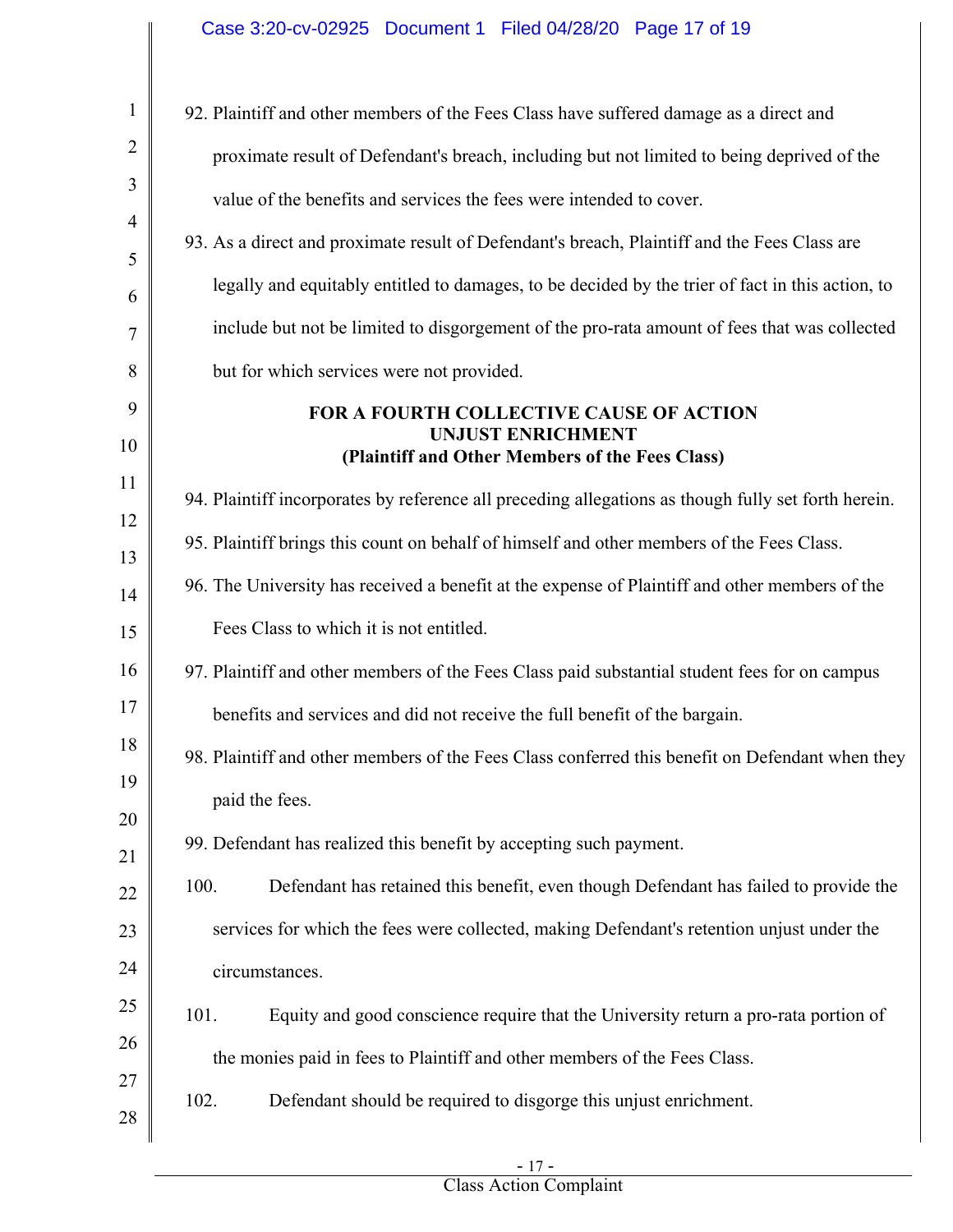# Case 3:20-cv-02925 Document 1 Filed 04/28/20 Page 17 of 19

| $\mathbf{1}$   | 92. Plaintiff and other members of the Fees Class have suffered damage as a direct and                                        |
|----------------|-------------------------------------------------------------------------------------------------------------------------------|
| $\overline{2}$ | proximate result of Defendant's breach, including but not limited to being deprived of the                                    |
| 3              | value of the benefits and services the fees were intended to cover.                                                           |
| 4<br>5         | 93. As a direct and proximate result of Defendant's breach, Plaintiff and the Fees Class are                                  |
| 6              | legally and equitably entitled to damages, to be decided by the trier of fact in this action, to                              |
| 7              | include but not be limited to disgorgement of the pro-rata amount of fees that was collected                                  |
| 8              | but for which services were not provided.                                                                                     |
| 9<br>10        | <b>FOR A FOURTH COLLECTIVE CAUSE OF ACTION</b><br><b>UNJUST ENRICHMENT</b><br>(Plaintiff and Other Members of the Fees Class) |
| 11             | 94. Plaintiff incorporates by reference all preceding allegations as though fully set forth herein.                           |
| 12             | 95. Plaintiff brings this count on behalf of himself and other members of the Fees Class.                                     |
| 13             | 96. The University has received a benefit at the expense of Plaintiff and other members of the                                |
| 14             | Fees Class to which it is not entitled.                                                                                       |
| 15<br>16       | 97. Plaintiff and other members of the Fees Class paid substantial student fees for on campus                                 |
| 17             | benefits and services and did not receive the full benefit of the bargain.                                                    |
| 18             | 98. Plaintiff and other members of the Fees Class conferred this benefit on Defendant when they                               |
| 19             | paid the fees.                                                                                                                |
| 20             | 99. Defendant has realized this benefit by accepting such payment.                                                            |
| 21             |                                                                                                                               |
| 22             | 100.<br>Defendant has retained this benefit, even though Defendant has failed to provide the                                  |
| 23<br>24       | services for which the fees were collected, making Defendant's retention unjust under the                                     |
| 25             | circumstances.                                                                                                                |
| 26             | 101.<br>Equity and good conscience require that the University return a pro-rata portion of                                   |
| 27             | the monies paid in fees to Plaintiff and other members of the Fees Class.                                                     |
| 28             | 102.<br>Defendant should be required to disgorge this unjust enrichment.                                                      |
|                |                                                                                                                               |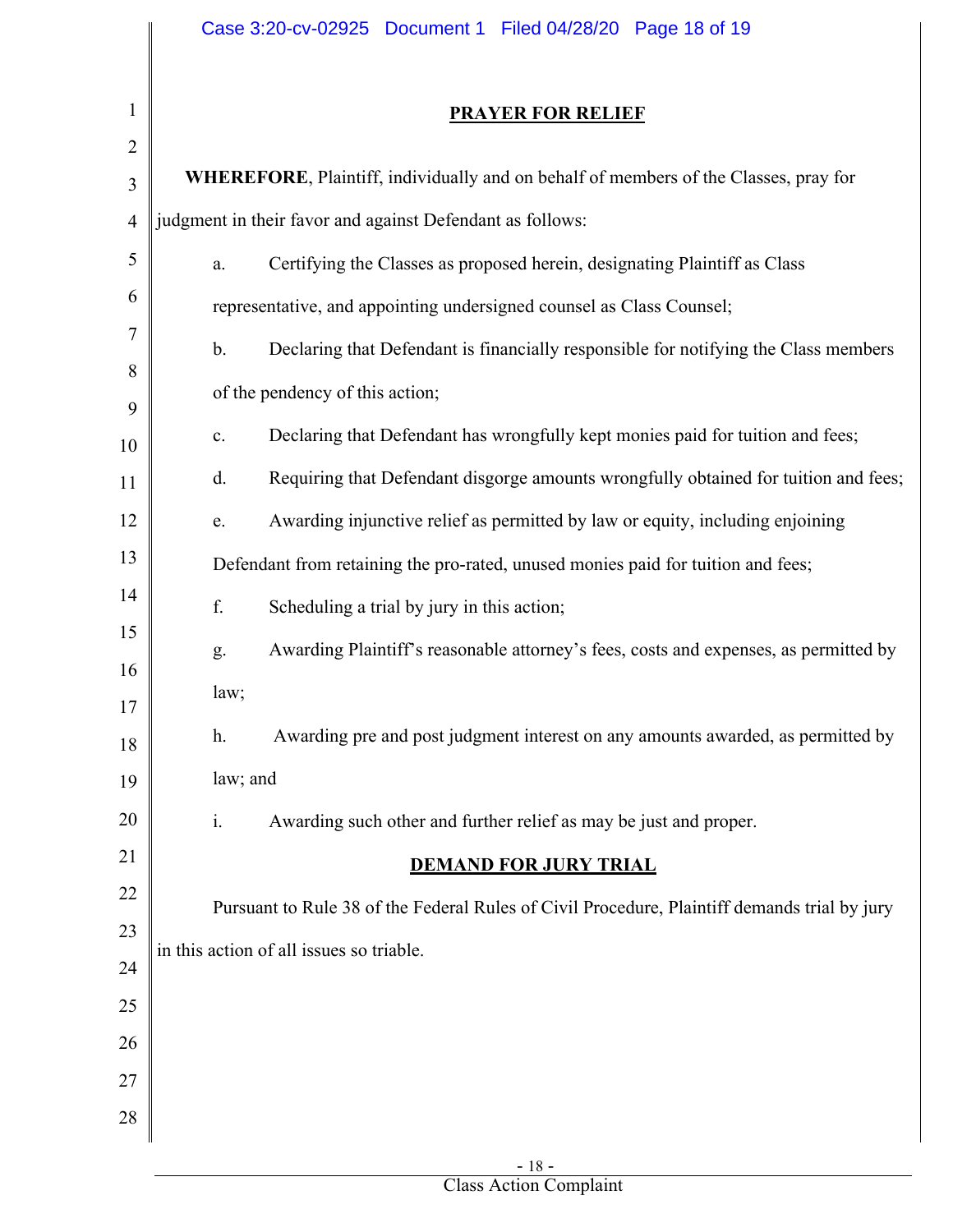|                | Case 3:20-cv-02925 Document 1 Filed 04/28/20 Page 18 of 19                                            |
|----------------|-------------------------------------------------------------------------------------------------------|
|                |                                                                                                       |
| 1              | <b>PRAYER FOR RELIEF</b>                                                                              |
| $\overline{2}$ |                                                                                                       |
| 3              | WHEREFORE, Plaintiff, individually and on behalf of members of the Classes, pray for                  |
| $\overline{4}$ | judgment in their favor and against Defendant as follows:                                             |
| 5              | Certifying the Classes as proposed herein, designating Plaintiff as Class<br>a.                       |
| 6              | representative, and appointing undersigned counsel as Class Counsel;                                  |
| 7              | Declaring that Defendant is financially responsible for notifying the Class members<br>$\mathbf{b}$ . |
| 8              | of the pendency of this action;                                                                       |
| 9<br>10        | Declaring that Defendant has wrongfully kept monies paid for tuition and fees;<br>$\mathbf{c}$ .      |
| 11             | Requiring that Defendant disgorge amounts wrongfully obtained for tuition and fees;<br>d.             |
| 12             | Awarding injunctive relief as permitted by law or equity, including enjoining<br>e.                   |
| 13             | Defendant from retaining the pro-rated, unused monies paid for tuition and fees;                      |
| 14             | f.<br>Scheduling a trial by jury in this action;                                                      |
| 15             | Awarding Plaintiff's reasonable attorney's fees, costs and expenses, as permitted by<br>g.            |
| 16             |                                                                                                       |
| 17             | law;                                                                                                  |
| 18             | Awarding pre and post judgment interest on any amounts awarded, as permitted by<br>h.                 |
| 19             | law; and                                                                                              |
| 20             | Awarding such other and further relief as may be just and proper.<br>$\mathbf{i}$ .                   |
| 21             | <b>DEMAND FOR JURY TRIAL</b>                                                                          |
| 22             | Pursuant to Rule 38 of the Federal Rules of Civil Procedure, Plaintiff demands trial by jury          |
| 23             | in this action of all issues so triable.                                                              |
| 24             |                                                                                                       |
| 25             |                                                                                                       |
| 26<br>27       |                                                                                                       |
| 28             |                                                                                                       |
|                |                                                                                                       |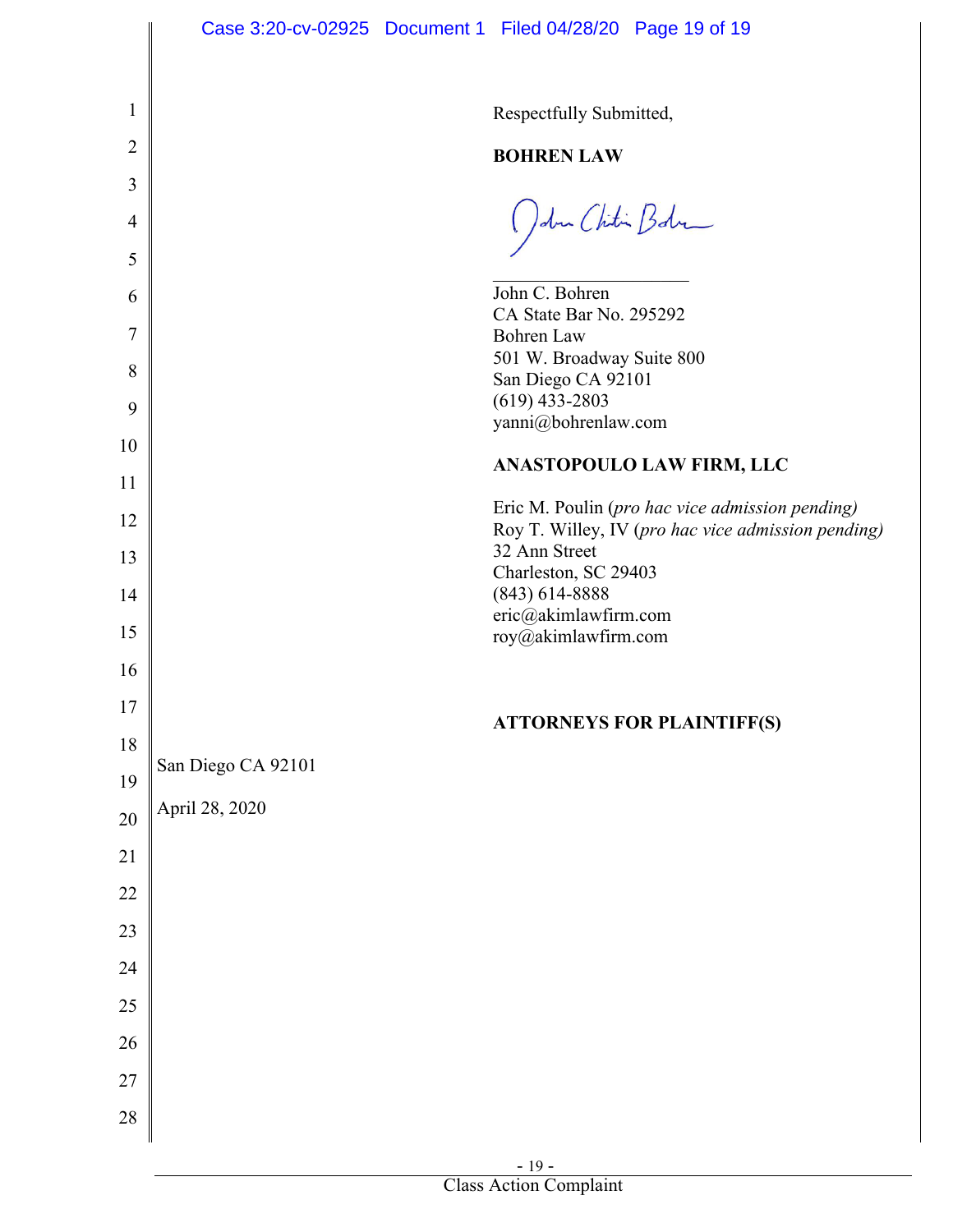|                | Case 3:20-cv-02925 Document 1 Filed 04/28/20 Page 19 of 19                                            |
|----------------|-------------------------------------------------------------------------------------------------------|
|                |                                                                                                       |
| 1              | Respectfully Submitted,                                                                               |
| $\overline{2}$ | <b>BOHREN LAW</b>                                                                                     |
| 3              |                                                                                                       |
| $\overline{4}$ | John Chitin Bohr                                                                                      |
| 5              |                                                                                                       |
| 6              | John C. Bohren                                                                                        |
| 7              | CA State Bar No. 295292<br><b>Bohren</b> Law                                                          |
|                | 501 W. Broadway Suite 800                                                                             |
| 8              | San Diego CA 92101                                                                                    |
| 9              | $(619)$ 433-2803                                                                                      |
| 10             | yanni@bohrenlaw.com                                                                                   |
|                | ANASTOPOULO LAW FIRM, LLC                                                                             |
| 11             |                                                                                                       |
| 12             | Eric M. Poulin (pro hac vice admission pending)<br>Roy T. Willey, IV (pro hac vice admission pending) |
| 13             | 32 Ann Street                                                                                         |
|                | Charleston, SC 29403                                                                                  |
| 14             | $(843)$ 614-8888<br>eric@akimlawfirm.com                                                              |
| 15             | roy@akimlawfirm.com                                                                                   |
| 16             |                                                                                                       |
| $17$           |                                                                                                       |
| 18             | <b>ATTORNEYS FOR PLAINTIFF(S)</b>                                                                     |
| 19             | San Diego CA 92101                                                                                    |
| $20\,$         | April 28, 2020                                                                                        |
| 21             |                                                                                                       |
| 22             |                                                                                                       |
| 23             |                                                                                                       |
| 24             |                                                                                                       |
| 25             |                                                                                                       |
| 26             |                                                                                                       |
| 27             |                                                                                                       |
| $28\,$         |                                                                                                       |
|                |                                                                                                       |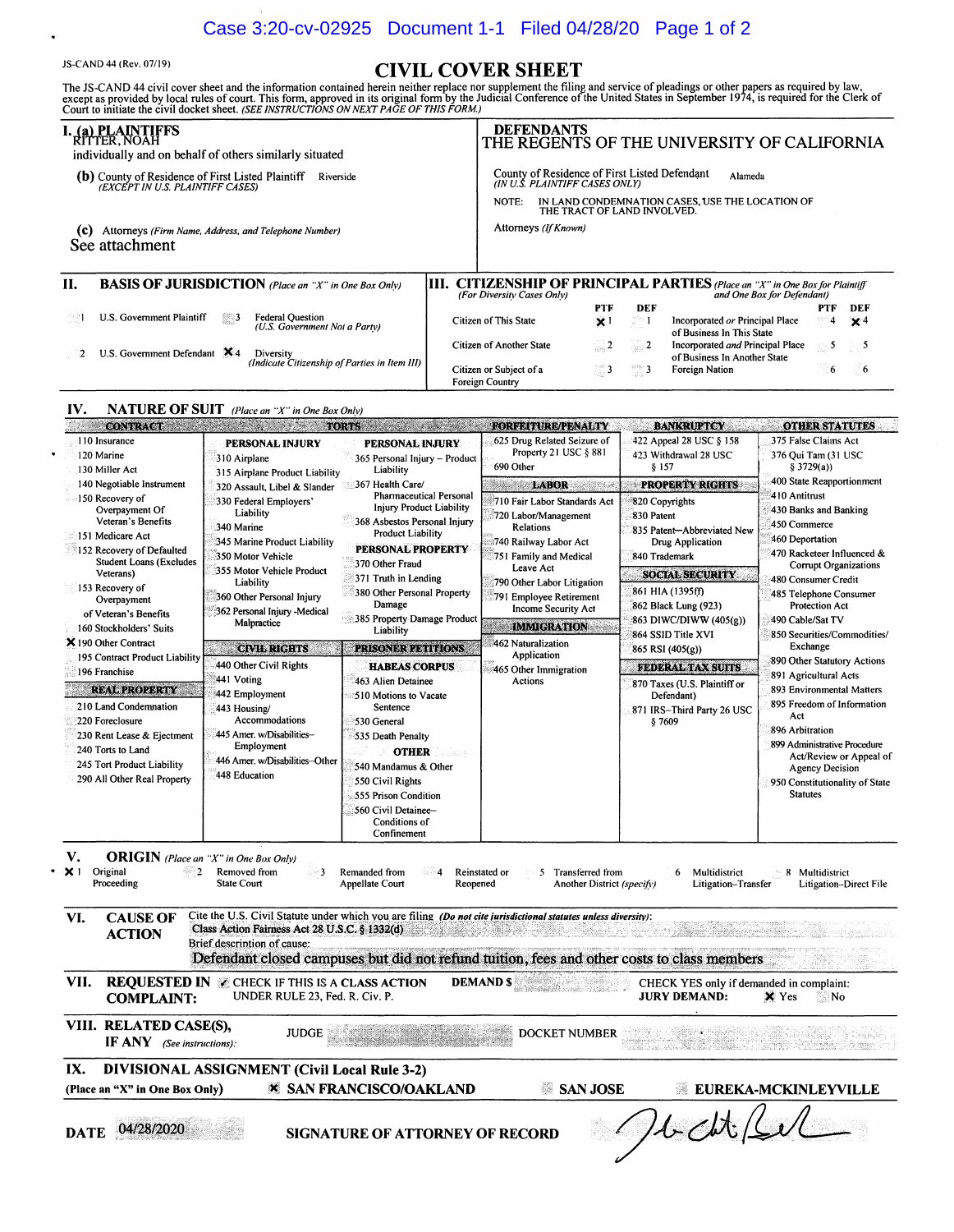## Case 3:20-cv-02925 Document 1-1 Filed 04/28/20 Page 1 of 2

SS-CAND 44 (Rev. 07/19)<br>The JS-CAND 44 civil cover sheet and the information contained herein neither replace nor supplement the filing and service of pleadings or other papers as required by law,<br>except as provided by lo

|     | <b>I. (a) PLAINTIFFS</b><br>RITTER, NOAH<br>individually and on behalf of others similarly situated           | <b>DEFENDANTS</b> |                                                                                          |                             | THE REGENTS OF THE UNIVERSITY OF CALIFORNIA |                                                                                                                    |          |            |
|-----|---------------------------------------------------------------------------------------------------------------|-------------------|------------------------------------------------------------------------------------------|-----------------------------|---------------------------------------------|--------------------------------------------------------------------------------------------------------------------|----------|------------|
|     | <b>(b)</b> County of Residence of First Listed Plaintiff <i>(EXCEPT IN U.S. PLAINTIFF CASES)</i><br>Riverside |                   | County of Residence of First Listed Defendant<br>(IN U.S. PLAINTIFF CASES ONLY)<br>NOTE: | THE TRACT OF LAND INVOLVED. |                                             | Alameda<br>IN LAND CONDEMNATION CASES, USE THE LOCATION OF                                                         |          |            |
| (c) | Attorneys (Firm Name, Address, and Telephone Number)<br>See attachment                                        |                   | Attorneys (If Known)                                                                     |                             |                                             |                                                                                                                    |          |            |
| Н.  | <b>BASIS OF JURISDICTION</b> (Place an "X" in One Box Only)                                                   |                   | (For Diversity Cases Only)                                                               |                             |                                             | <b>[III. CITIZENSHIP OF PRINCIPAL PARTIES</b> (Place an "X" in One Box for Plaintiff<br>and One Box for Defendant) |          |            |
|     |                                                                                                               |                   |                                                                                          | <b>PTF</b>                  | <b>DEF</b>                                  |                                                                                                                    | PTF      | DEF        |
|     | U.S. Government Plaintiff<br><b>Federal Question</b><br>$\mathbb{Z}^3$<br>(U.S. Government Not a Party)       |                   | Citizen of This State                                                                    | $\boldsymbol{\mathsf{x}}$ ! | 731                                         | Incorporated or Principal Place<br>of Business In This State                                                       | ా 4      | $\times^4$ |
|     | U.S. Government Defendant $\mathbf{X}_4$<br>Diversity<br>(Indicate Citizenship of Parties in Item III)        |                   | Citizen of Another State                                                                 | $\sim$ 2                    | $\sim$ 2                                    | Incorporated and Principal Place<br>of Business In Another State                                                   | $\sim$ 5 | $\sim$ 5   |
|     |                                                                                                               |                   | Citizen or Subject of a<br>Foreign Country                                               | $3^{\circ}$                 | $\frac{3}{2}$                               | Foreign Nation                                                                                                     | 6        | $\sim 6$   |

### IV. NATURE OF SUIT *(Place an "X" in One Box On!v)*

| <b>CONTRACT</b>                                                                                                                                                                                                                                                            |                                                                                                                                                                                                                                                              | <b>TORTS</b>                                                                                                                                                                                                                                                                                                  | <b>FORFEITURE/PENALTY</b>                                                                                                                                                                                                                                             | <b>BANKRUPTCY</b>                                                                                                                                                                                                         | <b>OTHER STATUTES</b>                                                                                                                                                                                                                                                                                                                                                                                                                                                                                                                                                                                |
|----------------------------------------------------------------------------------------------------------------------------------------------------------------------------------------------------------------------------------------------------------------------------|--------------------------------------------------------------------------------------------------------------------------------------------------------------------------------------------------------------------------------------------------------------|---------------------------------------------------------------------------------------------------------------------------------------------------------------------------------------------------------------------------------------------------------------------------------------------------------------|-----------------------------------------------------------------------------------------------------------------------------------------------------------------------------------------------------------------------------------------------------------------------|---------------------------------------------------------------------------------------------------------------------------------------------------------------------------------------------------------------------------|------------------------------------------------------------------------------------------------------------------------------------------------------------------------------------------------------------------------------------------------------------------------------------------------------------------------------------------------------------------------------------------------------------------------------------------------------------------------------------------------------------------------------------------------------------------------------------------------------|
| 110 Insurance<br>120 Marine<br>130 Miller Act                                                                                                                                                                                                                              | <b>PERSONAL INJURY</b><br>310 Airplane<br>315 Airplane Product Liability                                                                                                                                                                                     | PERSONAL INJURY<br>365 Personal Injury - Product<br>Liability                                                                                                                                                                                                                                                 | 625 Drug Related Seizure of<br>Property 21 USC § 881<br>690 Other                                                                                                                                                                                                     | 422 Appeal 28 USC § 158<br>423 Withdrawal 28 USC<br>§ 157                                                                                                                                                                 | 375 False Claims Act<br>376 Qui Tam (31 USC<br>\$3729(a)                                                                                                                                                                                                                                                                                                                                                                                                                                                                                                                                             |
| 140 Negotiable Instrument<br>150 Recovery of<br>Overpayment Of<br>Veteran's Benefits<br>151 Medicare Act<br>152 Recovery of Defaulted<br><b>Student Loans (Excludes</b><br>Veterans)<br>153 Recovery of<br>Overpayment<br>of Veteran's Benefits<br>160 Stockholders' Suits | 320 Assault, Libel & Slander<br>330 Federal Employers'<br>Liability<br>340 Marine<br>345 Marine Product Liability<br>350 Motor Vehicle<br>355 Motor Vehicle Product<br>Liability<br>360 Other Personal Injury<br>362 Personal Injury -Medical<br>Malpractice | 367 Health Care/<br><b>Pharmaceutical Personal</b><br><b>Injury Product Liability</b><br>368 Asbestos Personal Injury<br><b>Product Liability</b><br><b>PERSONAL PROPERTY</b><br>370 Other Fraud<br>371 Truth in Lending<br>380 Other Personal Property<br>Damage<br>385 Property Damage Product<br>Liability | <b>LABOR</b><br>710 Fair Labor Standards Act<br>720 Labor/Management<br><b>Relations</b><br>740 Railway Labor Act<br>751 Family and Medical<br>Leave Act<br>790 Other Labor Litigation<br>791 Employee Retirement<br><b>Income Security Act</b><br><b>IMMIGRATION</b> | <b>PROPERTY RIGHTS</b><br>820 Copyrights<br>830 Patent<br>835 Patent-Abbreviated New<br>Drug Application<br>840 Trademark<br><b>SOCIAL SECURITY</b><br>861 HIA (1395ff)<br>862 Black Lung (923)<br>863 DIWC/DIWW (405(g)) | 400 State Reapportionment<br>410 Antitrust<br>430 Banks and Banking<br>450 Commerce<br>460 Deportation<br>470 Racketeer Influenced &<br><b>Corrupt Organizations</b><br>480 Consumer Credit<br>485 Telephone Consumer<br><b>Protection Act</b><br>490 Cable/Sat TV<br>850 Securities/Commodities/<br>Exchange<br>890 Other Statutory Actions<br>891 Agricultural Acts<br>893 Environmental Matters<br>895 Freedom of Information<br>Act<br>896 Arbitration<br>899 Administrative Procedure<br>Act/Review or Appeal of<br><b>Agency Decision</b><br>950 Constitutionality of State<br><b>Statutes</b> |
| X 190 Other Contract<br>195 Contract Product Liability<br>196 Franchise<br><b>REAL PROPERTY</b><br>210 Land Condemnation<br>220 Foreclosure<br>230 Rent Lease & Ejectment<br>240 Torts to Land<br>245 Tort Product Liability<br>290 All Other Real Property                | <b>CIVIL RIGHTS</b><br>440 Other Civil Rights<br>441 Voting<br>442 Employment<br>443 Housing/<br>Accommodations<br>445 Amer. w/Disabilities-<br>Employment<br>446 Amer. w/Disabilities-Other<br>448 Education                                                | <b>PRISONER PETITIONS</b><br><b>HABEAS CORPUS</b><br>463 Alien Detainee<br>510 Motions to Vacate<br>Sentence<br>530 General<br>535 Death Penalty<br><b>OTHER</b><br>ki k<br>540 Mandamus & Other<br>550 Civil Rights<br>555 Prison Condition<br>560 Civil Detainee-<br>Conditions of<br>Confinement           | 462 Naturalization<br>Application<br>465 Other Immigration<br>Actions                                                                                                                                                                                                 | 864 SSID Title XVI<br>$865$ RSI (405(g))<br>FEDERAL TAX SUITS.<br>870 Taxes (U.S. Plaintiff or<br>Defendant)<br>871 IRS-Third Party 26 USC<br>§ 7609                                                                      |                                                                                                                                                                                                                                                                                                                                                                                                                                                                                                                                                                                                      |

V. ORIGIN *(Place an "X" in One Box On(v)* 

| Original   | Removed from | Remanded from   | Reinstated or | Fransferred from                  | Multidistrict       | Multidistrict          |
|------------|--------------|-----------------|---------------|-----------------------------------|---------------------|------------------------|
| Proceeding | State Court  | Appellate Court | Reopened      | Another District (specify)<br>. . | Litigation-Transfer | Litigation-Direct File |

|      | CAUSE OF<br><b>ACTION</b> | Cite the U.S. Civil Statute under which you are filing (Do not cite jurisdictional statutes unless diversity):<br>Class Action Fairness Act 28 U.S.C. § 1332(d) | <u> 1993 - Samuel Albert III, menggunakan pada pada salah salah salah salah salah salah salah salah salah salah</u> | and a strikker in the start of the control of the control of the control of the control of the control of the |
|------|---------------------------|-----------------------------------------------------------------------------------------------------------------------------------------------------------------|---------------------------------------------------------------------------------------------------------------------|---------------------------------------------------------------------------------------------------------------|
|      |                           | Brief description of cause:<br>Defendant closed campuses but did not refund tuition, fees and other costs to class members                                      |                                                                                                                     |                                                                                                               |
| VII. |                           | <b>REQUESTED IN A CHECK IF THIS IS A CLASS ACTION</b><br>$\mathbf{u}$                                                                                           | <b>DEMANDS</b><br>in a music attented to the                                                                        | CHECK YES only if demanded in complaint:<br><b><i>ITINII BELLIB</i></b><br>dealers.                           |

### UNDER RULE 23, Fed. R. Civ. P. **JURY DEMAND: COMPLAINT:**  $\times$  Yes No...

VIII. RELATED CASE(S), **JUDGE REPORT OF STATE OF STATE OF STATE OF STATE OF STATE OF STATE OF STATE OF STATE OF STATE OF ST** IF ANY *(See instructions)*:

DOCKET NUMBER

## IX. DIVISIONAL ASSIGNMENT (Civil Local Rule 3-2) (Place an "X" in One Box Only) & SAN FRANCISCO/OAKLAND

## SAN JOSE **EUREKA-MCKINLEYVILLE**

e Xel

yaw

| DATE | 04/28/2020 |  |
|------|------------|--|
|      |            |  |

DATE 04/28/2020 SIGNATURE OF ATTORNEY OF RECORD

Jech

ίŵ,

egyari

San Bar